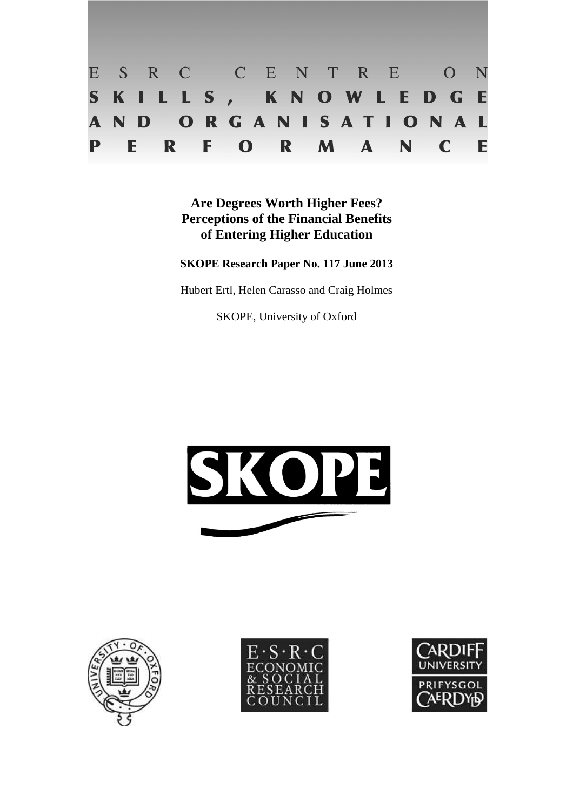

**Are Degrees Worth Higher Fees? Perceptions of the Financial Benefits of Entering Higher Education** 

**SKOPE Research Paper No. 117 June 2013** 

Hubert Ertl, Helen Carasso and Craig Holmes

SKOPE, University of Oxford







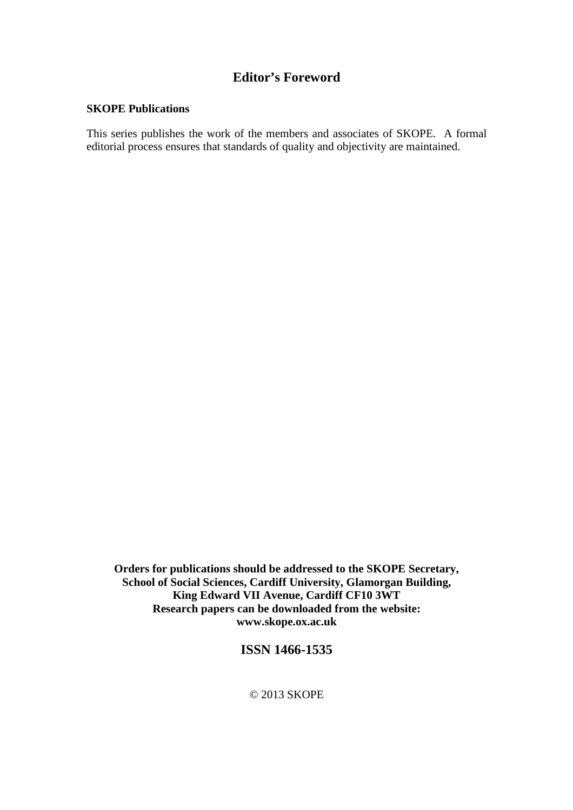# **Editor's Foreword**

## **SKOPE Publications**

This series publishes the work of the members and associates of SKOPE. A formal editorial process ensures that standards of quality and objectivity are maintained.

**Orders for publications should be addressed to the SKOPE Secretary, School of Social Sciences, Cardiff University, Glamorgan Building, King Edward VII Avenue, Cardiff CF10 3WT Research papers can be downloaded from the website: www.skope.ox.ac.uk** 

# **ISSN 1466-1535**

© 2013 SKOPE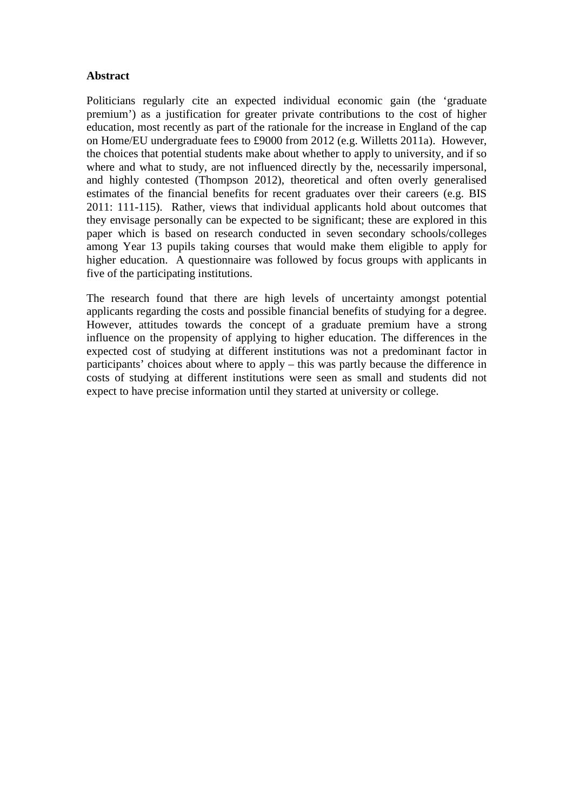# **Abstract**

Politicians regularly cite an expected individual economic gain (the 'graduate premium') as a justification for greater private contributions to the cost of higher education, most recently as part of the rationale for the increase in England of the cap on Home/EU undergraduate fees to £9000 from 2012 (e.g. Willetts 2011a). However, the choices that potential students make about whether to apply to university, and if so where and what to study, are not influenced directly by the, necessarily impersonal, and highly contested (Thompson 2012), theoretical and often overly generalised estimates of the financial benefits for recent graduates over their careers (e.g. BIS 2011: 111-115). Rather, views that individual applicants hold about outcomes that they envisage personally can be expected to be significant; these are explored in this paper which is based on research conducted in seven secondary schools/colleges among Year 13 pupils taking courses that would make them eligible to apply for higher education. A questionnaire was followed by focus groups with applicants in five of the participating institutions.

The research found that there are high levels of uncertainty amongst potential applicants regarding the costs and possible financial benefits of studying for a degree. However, attitudes towards the concept of a graduate premium have a strong influence on the propensity of applying to higher education. The differences in the expected cost of studying at different institutions was not a predominant factor in participants' choices about where to apply – this was partly because the difference in costs of studying at different institutions were seen as small and students did not expect to have precise information until they started at university or college.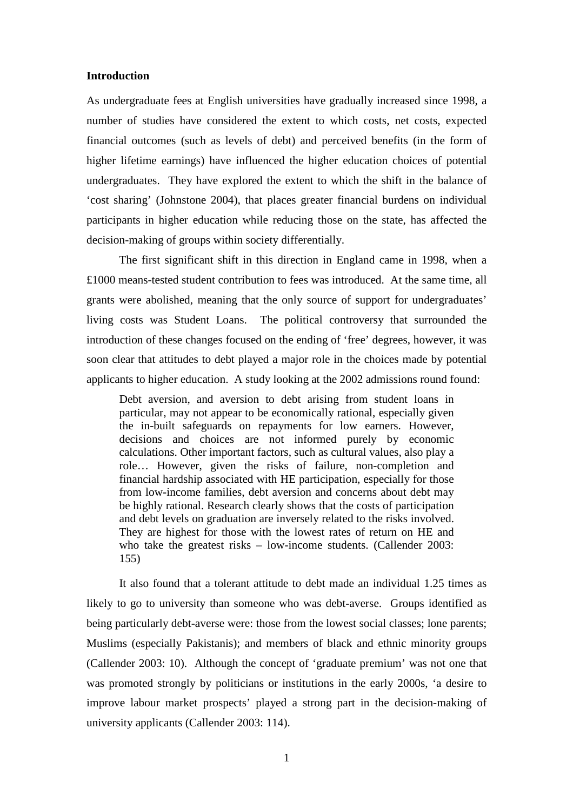#### **Introduction**

As undergraduate fees at English universities have gradually increased since 1998, a number of studies have considered the extent to which costs, net costs, expected financial outcomes (such as levels of debt) and perceived benefits (in the form of higher lifetime earnings) have influenced the higher education choices of potential undergraduates. They have explored the extent to which the shift in the balance of 'cost sharing' (Johnstone 2004), that places greater financial burdens on individual participants in higher education while reducing those on the state, has affected the decision-making of groups within society differentially.

The first significant shift in this direction in England came in 1998, when a £1000 means-tested student contribution to fees was introduced. At the same time, all grants were abolished, meaning that the only source of support for undergraduates' living costs was Student Loans. The political controversy that surrounded the introduction of these changes focused on the ending of 'free' degrees, however, it was soon clear that attitudes to debt played a major role in the choices made by potential applicants to higher education. A study looking at the 2002 admissions round found:

Debt aversion, and aversion to debt arising from student loans in particular, may not appear to be economically rational, especially given the in-built safeguards on repayments for low earners. However, decisions and choices are not informed purely by economic calculations. Other important factors, such as cultural values, also play a role… However, given the risks of failure, non-completion and financial hardship associated with HE participation, especially for those from low-income families, debt aversion and concerns about debt may be highly rational. Research clearly shows that the costs of participation and debt levels on graduation are inversely related to the risks involved. They are highest for those with the lowest rates of return on HE and who take the greatest risks – low-income students. (Callender 2003: 155)

It also found that a tolerant attitude to debt made an individual 1.25 times as likely to go to university than someone who was debt-averse. Groups identified as being particularly debt-averse were: those from the lowest social classes; lone parents; Muslims (especially Pakistanis); and members of black and ethnic minority groups (Callender 2003: 10). Although the concept of 'graduate premium' was not one that was promoted strongly by politicians or institutions in the early 2000s, 'a desire to improve labour market prospects' played a strong part in the decision-making of university applicants (Callender 2003: 114).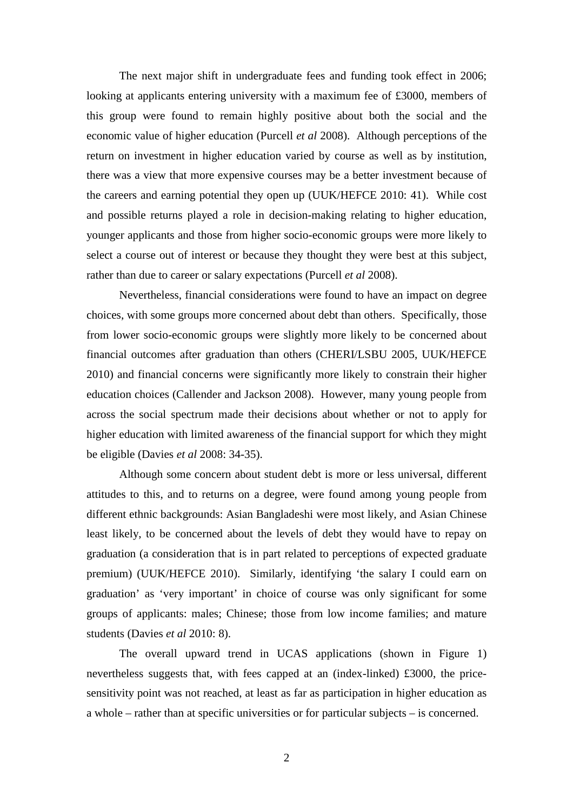The next major shift in undergraduate fees and funding took effect in 2006; looking at applicants entering university with a maximum fee of £3000, members of this group were found to remain highly positive about both the social and the economic value of higher education (Purcell *et al* 2008). Although perceptions of the return on investment in higher education varied by course as well as by institution, there was a view that more expensive courses may be a better investment because of the careers and earning potential they open up (UUK/HEFCE 2010: 41). While cost and possible returns played a role in decision-making relating to higher education, younger applicants and those from higher socio-economic groups were more likely to select a course out of interest or because they thought they were best at this subject, rather than due to career or salary expectations (Purcell *et al* 2008).

Nevertheless, financial considerations were found to have an impact on degree choices, with some groups more concerned about debt than others. Specifically, those from lower socio-economic groups were slightly more likely to be concerned about financial outcomes after graduation than others (CHERI/LSBU 2005, UUK/HEFCE 2010) and financial concerns were significantly more likely to constrain their higher education choices (Callender and Jackson 2008). However, many young people from across the social spectrum made their decisions about whether or not to apply for higher education with limited awareness of the financial support for which they might be eligible (Davies *et al* 2008: 34-35).

Although some concern about student debt is more or less universal, different attitudes to this, and to returns on a degree, were found among young people from different ethnic backgrounds: Asian Bangladeshi were most likely, and Asian Chinese least likely, to be concerned about the levels of debt they would have to repay on graduation (a consideration that is in part related to perceptions of expected graduate premium) (UUK/HEFCE 2010). Similarly, identifying 'the salary I could earn on graduation' as 'very important' in choice of course was only significant for some groups of applicants: males; Chinese; those from low income families; and mature students (Davies *et al* 2010: 8).

The overall upward trend in UCAS applications (shown in Figure 1) nevertheless suggests that, with fees capped at an (index-linked) £3000, the pricesensitivity point was not reached, at least as far as participation in higher education as a whole – rather than at specific universities or for particular subjects – is concerned.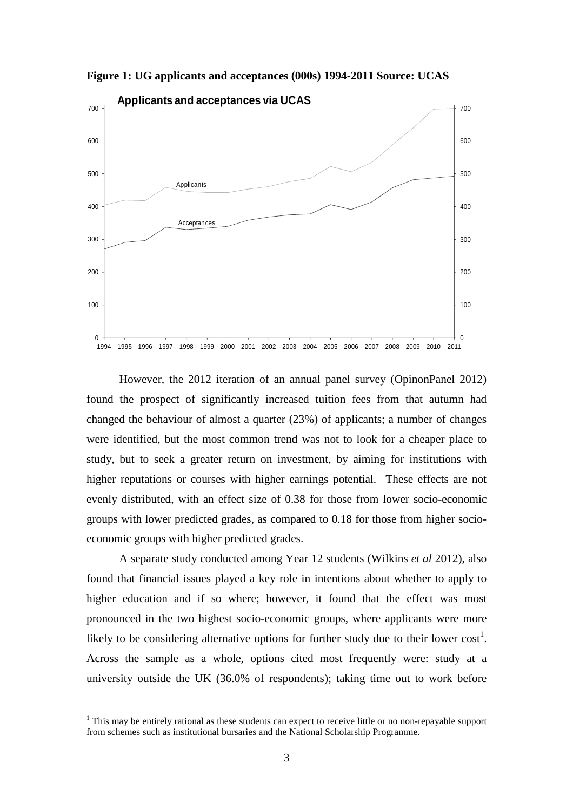

**Figure 1: UG applicants and acceptances (000s) 1994-2011 Source: UCAS** 

However, the 2012 iteration of an annual panel survey (OpinonPanel 2012) found the prospect of significantly increased tuition fees from that autumn had changed the behaviour of almost a quarter (23%) of applicants; a number of changes were identified, but the most common trend was not to look for a cheaper place to study, but to seek a greater return on investment, by aiming for institutions with higher reputations or courses with higher earnings potential. These effects are not evenly distributed, with an effect size of 0.38 for those from lower socio-economic groups with lower predicted grades, as compared to 0.18 for those from higher socioeconomic groups with higher predicted grades.

A separate study conducted among Year 12 students (Wilkins *et al* 2012), also found that financial issues played a key role in intentions about whether to apply to higher education and if so where; however, it found that the effect was most pronounced in the two highest socio-economic groups, where applicants were more likely to be considering alternative options for further study due to their lower  $cost<sup>1</sup>$ . Across the sample as a whole, options cited most frequently were: study at a university outside the UK (36.0% of respondents); taking time out to work before

<sup>&</sup>lt;sup>1</sup> This may be entirely rational as these students can expect to receive little or no non-repayable support from schemes such as institutional bursaries and the National Scholarship Programme.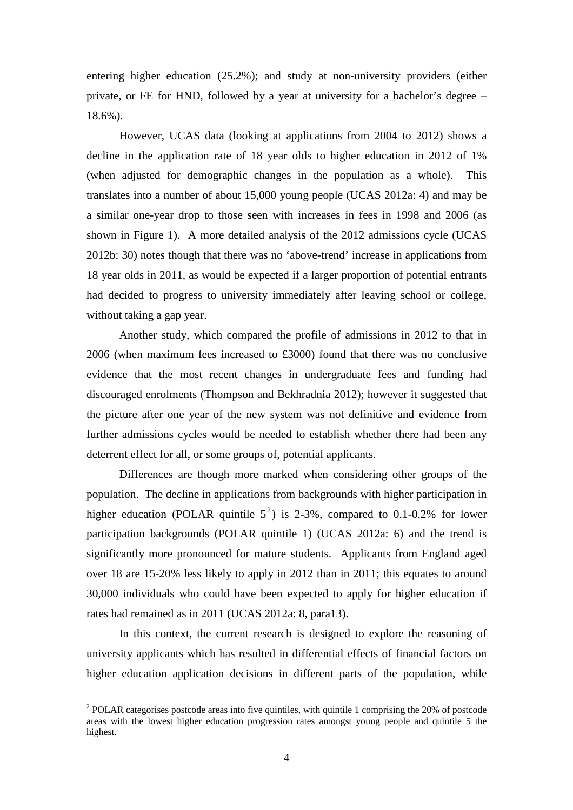entering higher education (25.2%); and study at non-university providers (either private, or FE for HND, followed by a year at university for a bachelor's degree – 18.6%).

However, UCAS data (looking at applications from 2004 to 2012) shows a decline in the application rate of 18 year olds to higher education in 2012 of 1% (when adjusted for demographic changes in the population as a whole). This translates into a number of about 15,000 young people (UCAS 2012a: 4) and may be a similar one-year drop to those seen with increases in fees in 1998 and 2006 (as shown in Figure 1). A more detailed analysis of the 2012 admissions cycle (UCAS 2012b: 30) notes though that there was no 'above-trend' increase in applications from 18 year olds in 2011, as would be expected if a larger proportion of potential entrants had decided to progress to university immediately after leaving school or college, without taking a gap year.

Another study, which compared the profile of admissions in 2012 to that in 2006 (when maximum fees increased to £3000) found that there was no conclusive evidence that the most recent changes in undergraduate fees and funding had discouraged enrolments (Thompson and Bekhradnia 2012); however it suggested that the picture after one year of the new system was not definitive and evidence from further admissions cycles would be needed to establish whether there had been any deterrent effect for all, or some groups of, potential applicants.

Differences are though more marked when considering other groups of the population. The decline in applications from backgrounds with higher participation in higher education (POLAR quintile  $5^2$ ) is 2-3%, compared to 0.1-0.2% for lower participation backgrounds (POLAR quintile 1) (UCAS 2012a: 6) and the trend is significantly more pronounced for mature students. Applicants from England aged over 18 are 15-20% less likely to apply in 2012 than in 2011; this equates to around 30,000 individuals who could have been expected to apply for higher education if rates had remained as in 2011 (UCAS 2012a: 8, para13).

In this context, the current research is designed to explore the reasoning of university applicants which has resulted in differential effects of financial factors on higher education application decisions in different parts of the population, while

 $2^{2}$  POLAR categorises postcode areas into five quintiles, with quintile 1 comprising the 20% of postcode areas with the lowest higher education progression rates amongst young people and quintile 5 the highest.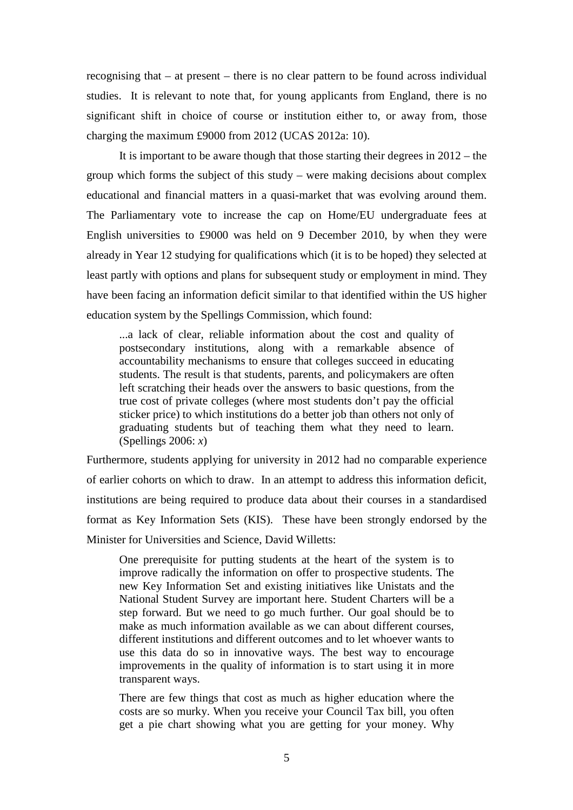recognising that – at present – there is no clear pattern to be found across individual studies. It is relevant to note that, for young applicants from England, there is no significant shift in choice of course or institution either to, or away from, those charging the maximum £9000 from 2012 (UCAS 2012a: 10).

It is important to be aware though that those starting their degrees in 2012 – the group which forms the subject of this study – were making decisions about complex educational and financial matters in a quasi-market that was evolving around them. The Parliamentary vote to increase the cap on Home/EU undergraduate fees at English universities to £9000 was held on 9 December 2010, by when they were already in Year 12 studying for qualifications which (it is to be hoped) they selected at least partly with options and plans for subsequent study or employment in mind. They have been facing an information deficit similar to that identified within the US higher education system by the Spellings Commission, which found:

...a lack of clear, reliable information about the cost and quality of postsecondary institutions, along with a remarkable absence of accountability mechanisms to ensure that colleges succeed in educating students. The result is that students, parents, and policymakers are often left scratching their heads over the answers to basic questions, from the true cost of private colleges (where most students don't pay the official sticker price) to which institutions do a better job than others not only of graduating students but of teaching them what they need to learn. (Spellings 2006: *x*)

Furthermore, students applying for university in 2012 had no comparable experience of earlier cohorts on which to draw. In an attempt to address this information deficit, institutions are being required to produce data about their courses in a standardised format as Key Information Sets (KIS). These have been strongly endorsed by the Minister for Universities and Science, David Willetts:

One prerequisite for putting students at the heart of the system is to improve radically the information on offer to prospective students. The new Key Information Set and existing initiatives like Unistats and the National Student Survey are important here. Student Charters will be a step forward. But we need to go much further. Our goal should be to make as much information available as we can about different courses, different institutions and different outcomes and to let whoever wants to use this data do so in innovative ways. The best way to encourage improvements in the quality of information is to start using it in more transparent ways.

There are few things that cost as much as higher education where the costs are so murky. When you receive your Council Tax bill, you often get a pie chart showing what you are getting for your money. Why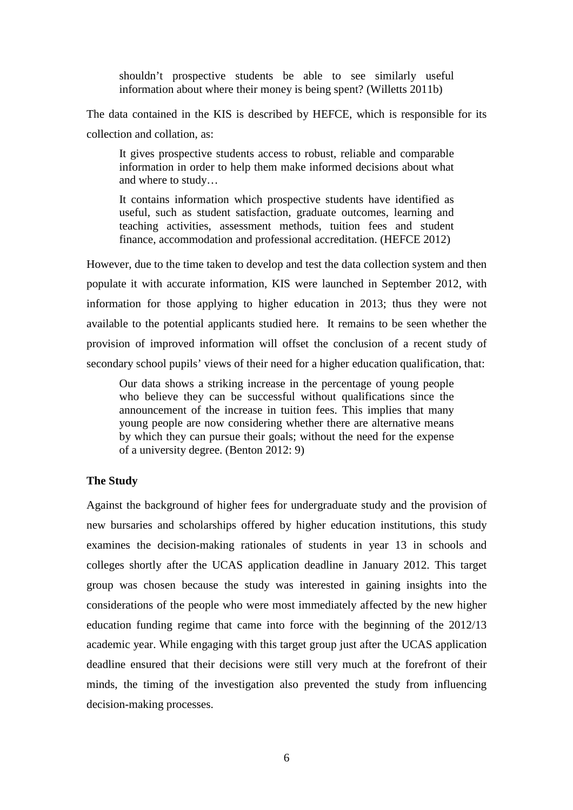shouldn't prospective students be able to see similarly useful information about where their money is being spent? (Willetts 2011b)

The data contained in the KIS is described by HEFCE, which is responsible for its collection and collation, as:

It gives prospective students access to robust, reliable and comparable information in order to help them make informed decisions about what and where to study…

It contains information which prospective students have identified as useful, such as student satisfaction, graduate outcomes, learning and teaching activities, assessment methods, tuition fees and student finance, accommodation and professional accreditation. (HEFCE 2012)

However, due to the time taken to develop and test the data collection system and then populate it with accurate information, KIS were launched in September 2012, with information for those applying to higher education in 2013; thus they were not available to the potential applicants studied here. It remains to be seen whether the provision of improved information will offset the conclusion of a recent study of secondary school pupils' views of their need for a higher education qualification, that:

Our data shows a striking increase in the percentage of young people who believe they can be successful without qualifications since the announcement of the increase in tuition fees. This implies that many young people are now considering whether there are alternative means by which they can pursue their goals; without the need for the expense of a university degree. (Benton 2012: 9)

### **The Study**

Against the background of higher fees for undergraduate study and the provision of new bursaries and scholarships offered by higher education institutions, this study examines the decision-making rationales of students in year 13 in schools and colleges shortly after the UCAS application deadline in January 2012. This target group was chosen because the study was interested in gaining insights into the considerations of the people who were most immediately affected by the new higher education funding regime that came into force with the beginning of the 2012/13 academic year. While engaging with this target group just after the UCAS application deadline ensured that their decisions were still very much at the forefront of their minds, the timing of the investigation also prevented the study from influencing decision-making processes.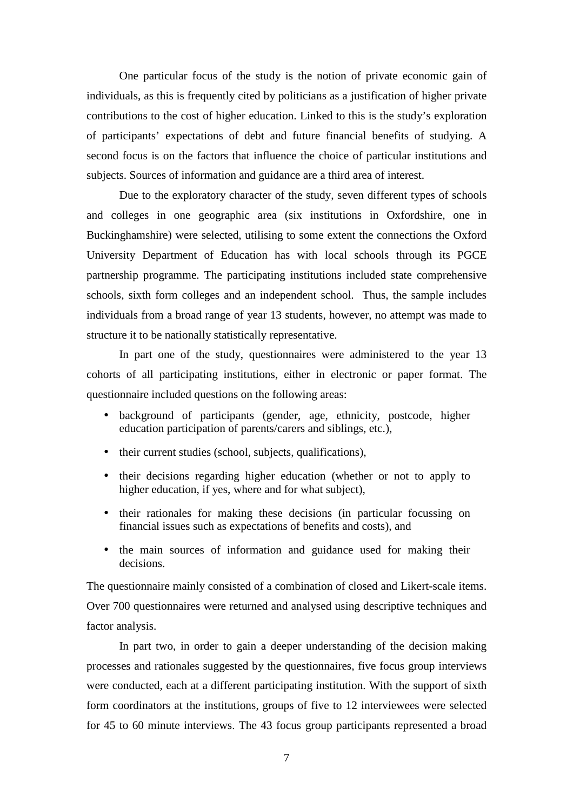One particular focus of the study is the notion of private economic gain of individuals, as this is frequently cited by politicians as a justification of higher private contributions to the cost of higher education. Linked to this is the study's exploration of participants' expectations of debt and future financial benefits of studying. A second focus is on the factors that influence the choice of particular institutions and subjects. Sources of information and guidance are a third area of interest.

Due to the exploratory character of the study, seven different types of schools and colleges in one geographic area (six institutions in Oxfordshire, one in Buckinghamshire) were selected, utilising to some extent the connections the Oxford University Department of Education has with local schools through its PGCE partnership programme. The participating institutions included state comprehensive schools, sixth form colleges and an independent school. Thus, the sample includes individuals from a broad range of year 13 students, however, no attempt was made to structure it to be nationally statistically representative.

In part one of the study, questionnaires were administered to the year 13 cohorts of all participating institutions, either in electronic or paper format. The questionnaire included questions on the following areas:

- background of participants (gender, age, ethnicity, postcode, higher education participation of parents/carers and siblings, etc.),
- their current studies (school, subjects, qualifications),
- their decisions regarding higher education (whether or not to apply to higher education, if yes, where and for what subject),
- their rationales for making these decisions (in particular focussing on financial issues such as expectations of benefits and costs), and
- the main sources of information and guidance used for making their decisions.

The questionnaire mainly consisted of a combination of closed and Likert-scale items. Over 700 questionnaires were returned and analysed using descriptive techniques and factor analysis.

In part two, in order to gain a deeper understanding of the decision making processes and rationales suggested by the questionnaires, five focus group interviews were conducted, each at a different participating institution. With the support of sixth form coordinators at the institutions, groups of five to 12 interviewees were selected for 45 to 60 minute interviews. The 43 focus group participants represented a broad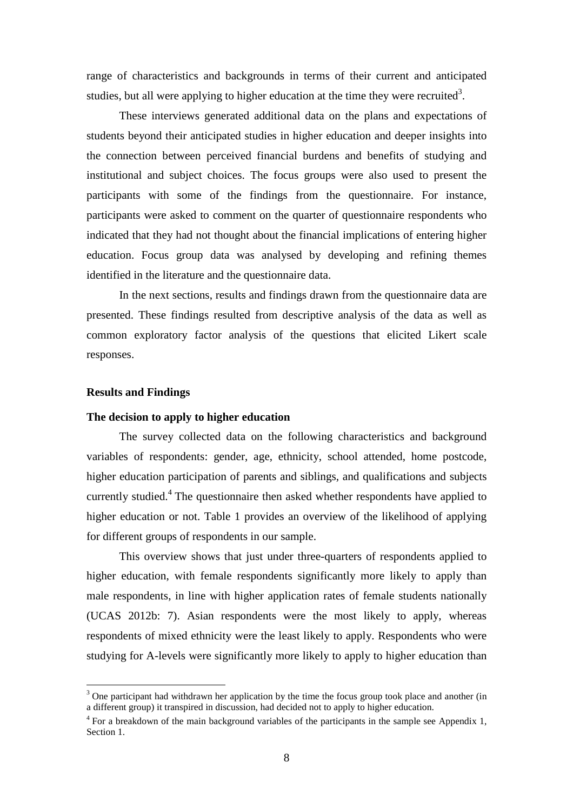range of characteristics and backgrounds in terms of their current and anticipated studies, but all were applying to higher education at the time they were recruited<sup>3</sup>.

These interviews generated additional data on the plans and expectations of students beyond their anticipated studies in higher education and deeper insights into the connection between perceived financial burdens and benefits of studying and institutional and subject choices. The focus groups were also used to present the participants with some of the findings from the questionnaire. For instance, participants were asked to comment on the quarter of questionnaire respondents who indicated that they had not thought about the financial implications of entering higher education. Focus group data was analysed by developing and refining themes identified in the literature and the questionnaire data.

In the next sections, results and findings drawn from the questionnaire data are presented. These findings resulted from descriptive analysis of the data as well as common exploratory factor analysis of the questions that elicited Likert scale responses.

### **Results and Findings**

 $\overline{a}$ 

### **The decision to apply to higher education**

The survey collected data on the following characteristics and background variables of respondents: gender, age, ethnicity, school attended, home postcode, higher education participation of parents and siblings, and qualifications and subjects currently studied.<sup>4</sup> The questionnaire then asked whether respondents have applied to higher education or not. Table 1 provides an overview of the likelihood of applying for different groups of respondents in our sample.

This overview shows that just under three-quarters of respondents applied to higher education, with female respondents significantly more likely to apply than male respondents, in line with higher application rates of female students nationally (UCAS 2012b: 7). Asian respondents were the most likely to apply, whereas respondents of mixed ethnicity were the least likely to apply. Respondents who were studying for A-levels were significantly more likely to apply to higher education than

<sup>&</sup>lt;sup>3</sup> One participant had withdrawn her application by the time the focus group took place and another (in a different group) it transpired in discussion, had decided not to apply to higher education.

<sup>&</sup>lt;sup>4</sup> For a breakdown of the main background variables of the participants in the sample see Appendix 1, Section 1.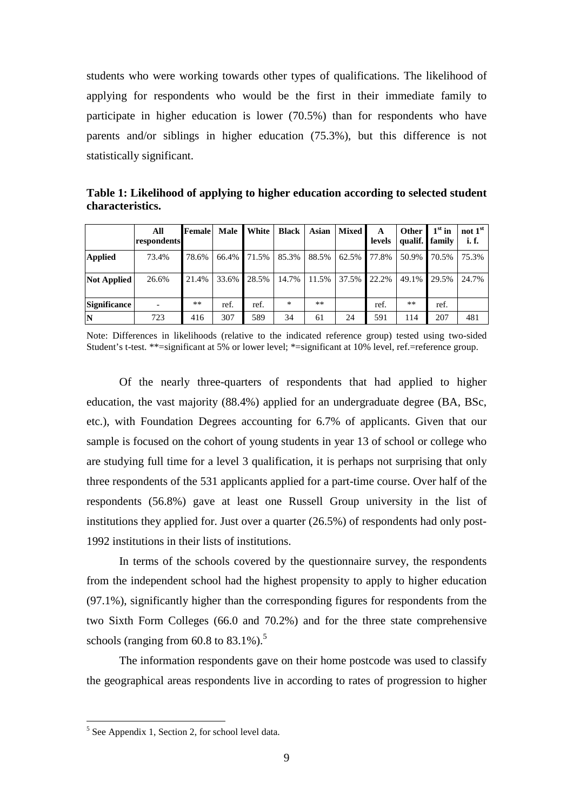students who were working towards other types of qualifications. The likelihood of applying for respondents who would be the first in their immediate family to participate in higher education is lower (70.5%) than for respondents who have parents and/or siblings in higher education (75.3%), but this difference is not statistically significant.

**Table 1: Likelihood of applying to higher education according to selected student characteristics.** 

|                     | All<br>respondents | <b>Female</b> |       | Male White  | <b>Black</b> | Asian | <b>Mixed</b> | A<br>levels | Other | $1st$ in<br>qualif. family | not $1st$<br>i.f. |
|---------------------|--------------------|---------------|-------|-------------|--------------|-------|--------------|-------------|-------|----------------------------|-------------------|
| <b>Applied</b>      | 73.4%              | 78.6%         |       | 66.4% 71.5% | 85.3%        | 88.5% | 62.5%        | 77.8%       | 50.9% | 70.5%                      | 75.3%             |
| <b>Not Applied</b>  | 26.6%              | 21.4%         | 33.6% | 28.5%       | 14.7%        | 11.5% | 37.5%        | 22.2%       | 49.1% | 29.5%                      | 24.7%             |
| <b>Significance</b> |                    | $***$         | ref.  | ref.        | $\ast$       | **    |              | ref.        | **    | ref.                       |                   |
| IN                  | 723                | 416           | 307   | 589         | 34           | 61    | 24           | 591         | 114   | 207                        | 481               |

Note: Differences in likelihoods (relative to the indicated reference group) tested using two-sided Student's t-test. \*\*=significant at 5% or lower level; \*=significant at 10% level, ref.=reference group.

Of the nearly three-quarters of respondents that had applied to higher education, the vast majority (88.4%) applied for an undergraduate degree (BA, BSc, etc.), with Foundation Degrees accounting for 6.7% of applicants. Given that our sample is focused on the cohort of young students in year 13 of school or college who are studying full time for a level 3 qualification, it is perhaps not surprising that only three respondents of the 531 applicants applied for a part-time course. Over half of the respondents (56.8%) gave at least one Russell Group university in the list of institutions they applied for. Just over a quarter (26.5%) of respondents had only post-1992 institutions in their lists of institutions.

In terms of the schools covered by the questionnaire survey, the respondents from the independent school had the highest propensity to apply to higher education (97.1%), significantly higher than the corresponding figures for respondents from the two Sixth Form Colleges (66.0 and 70.2%) and for the three state comprehensive schools (ranging from  $60.8$  to  $83.1\%$ ).<sup>5</sup>

The information respondents gave on their home postcode was used to classify the geographical areas respondents live in according to rates of progression to higher

<sup>&</sup>lt;sup>5</sup> See Appendix 1, Section 2, for school level data.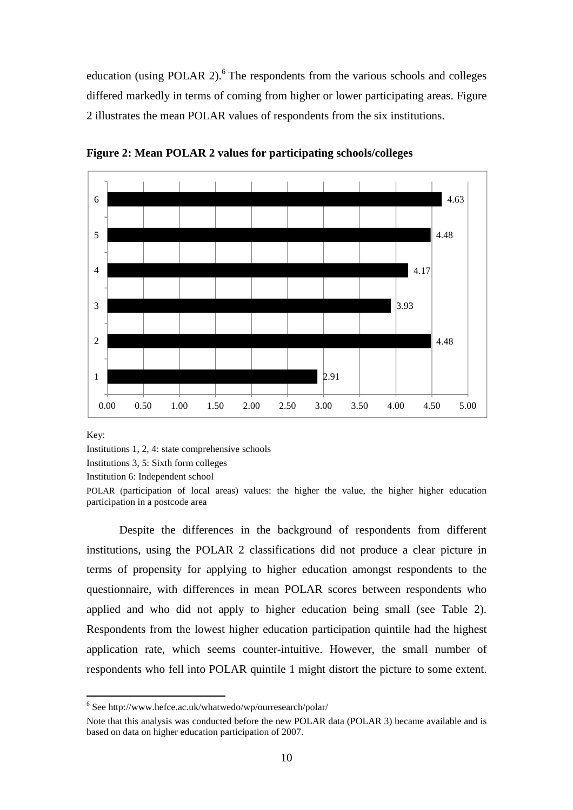education (using POLAR 2). $6$  The respondents from the various schools and colleges differed markedly in terms of coming from higher or lower participating areas. Figure 2 illustrates the mean POLAR values of respondents from the six institutions.



**Figure 2: Mean POLAR 2 values for participating schools/colleges** 

Key:

 $\overline{a}$ 

Institutions 1, 2, 4: state comprehensive schools

Institutions 3, 5: Sixth form colleges

Institution 6: Independent school

POLAR (participation of local areas) values: the higher the value, the higher higher education participation in a postcode area

Despite the differences in the background of respondents from different institutions, using the POLAR 2 classifications did not produce a clear picture in terms of propensity for applying to higher education amongst respondents to the questionnaire, with differences in mean POLAR scores between respondents who applied and who did not apply to higher education being small (see Table 2). Respondents from the lowest higher education participation quintile had the highest application rate, which seems counter-intuitive. However, the small number of respondents who fell into POLAR quintile 1 might distort the picture to some extent.

<sup>6</sup> See http://www.hefce.ac.uk/whatwedo/wp/ourresearch/polar/

Note that this analysis was conducted before the new POLAR data (POLAR 3) became available and is based on data on higher education participation of 2007.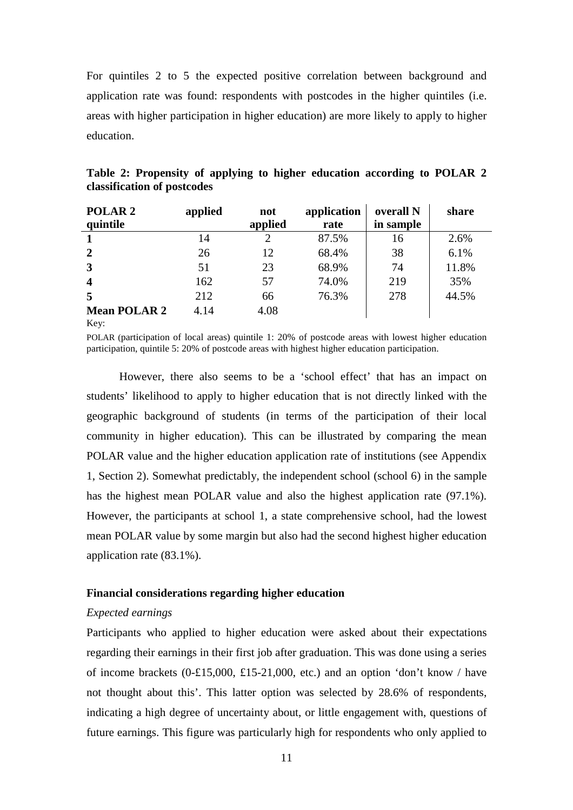For quintiles 2 to 5 the expected positive correlation between background and application rate was found: respondents with postcodes in the higher quintiles (i.e. areas with higher participation in higher education) are more likely to apply to higher education.

| POLAR <sub>2</sub><br>quintile      | applied | not<br>applied | application<br>rate | overall N<br>in sample | share |
|-------------------------------------|---------|----------------|---------------------|------------------------|-------|
| 1                                   | 14      | 2              | 87.5%               | 16                     | 2.6%  |
| $\overline{2}$                      | 26      | 12             | 68.4%               | 38                     | 6.1%  |
| $\mathbf{3}$                        | 51      | 23             | 68.9%               | 74                     | 11.8% |
| $\overline{\mathbf{4}}$             | 162     | 57             | 74.0%               | 219                    | 35%   |
| 5                                   | 212     | 66             | 76.3%               | 278                    | 44.5% |
| <b>Mean POLAR 2</b><br>$\mathbf{Y}$ | 4.14    | 4.08           |                     |                        |       |

**Table 2: Propensity of applying to higher education according to POLAR 2 classification of postcodes** 

Key:

POLAR (participation of local areas) quintile 1: 20% of postcode areas with lowest higher education participation, quintile 5: 20% of postcode areas with highest higher education participation.

However, there also seems to be a 'school effect' that has an impact on students' likelihood to apply to higher education that is not directly linked with the geographic background of students (in terms of the participation of their local community in higher education). This can be illustrated by comparing the mean POLAR value and the higher education application rate of institutions (see Appendix 1, Section 2). Somewhat predictably, the independent school (school 6) in the sample has the highest mean POLAR value and also the highest application rate (97.1%). However, the participants at school 1, a state comprehensive school, had the lowest mean POLAR value by some margin but also had the second highest higher education application rate (83.1%).

### **Financial considerations regarding higher education**

#### *Expected earnings*

Participants who applied to higher education were asked about their expectations regarding their earnings in their first job after graduation. This was done using a series of income brackets  $(0.£15,000, £15-21,000, etc.)$  and an option 'don't know / have not thought about this'. This latter option was selected by 28.6% of respondents, indicating a high degree of uncertainty about, or little engagement with, questions of future earnings. This figure was particularly high for respondents who only applied to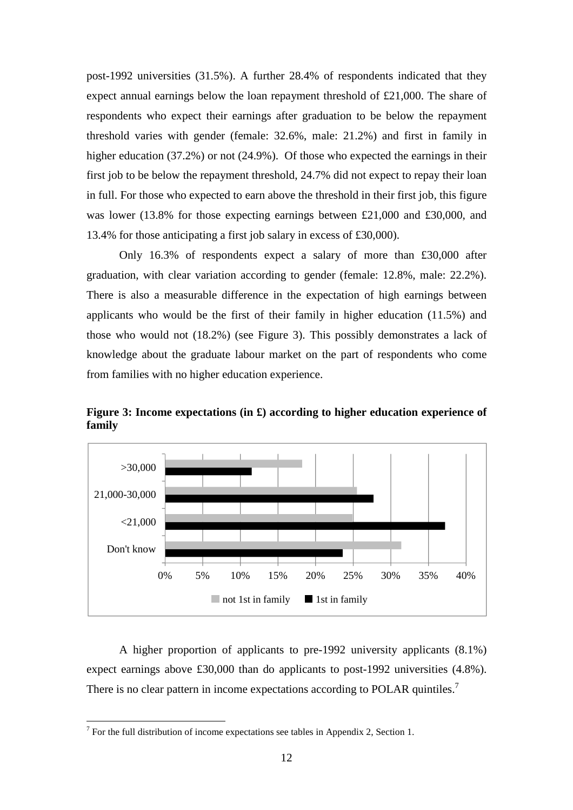post-1992 universities (31.5%). A further 28.4% of respondents indicated that they expect annual earnings below the loan repayment threshold of £21,000. The share of respondents who expect their earnings after graduation to be below the repayment threshold varies with gender (female: 32.6%, male: 21.2%) and first in family in higher education (37.2%) or not (24.9%). Of those who expected the earnings in their first job to be below the repayment threshold, 24.7% did not expect to repay their loan in full. For those who expected to earn above the threshold in their first job, this figure was lower (13.8% for those expecting earnings between £21,000 and £30,000, and 13.4% for those anticipating a first job salary in excess of £30,000).

Only 16.3% of respondents expect a salary of more than £30,000 after graduation, with clear variation according to gender (female: 12.8%, male: 22.2%). There is also a measurable difference in the expectation of high earnings between applicants who would be the first of their family in higher education (11.5%) and those who would not (18.2%) (see Figure 3). This possibly demonstrates a lack of knowledge about the graduate labour market on the part of respondents who come from families with no higher education experience.



**Figure 3: Income expectations (in £) according to higher education experience of family** 

A higher proportion of applicants to pre-1992 university applicants (8.1%) expect earnings above £30,000 than do applicants to post-1992 universities (4.8%). There is no clear pattern in income expectations according to POLAR quintiles.<sup>7</sup>

<sup>&</sup>lt;sup>7</sup> For the full distribution of income expectations see tables in Appendix 2, Section 1.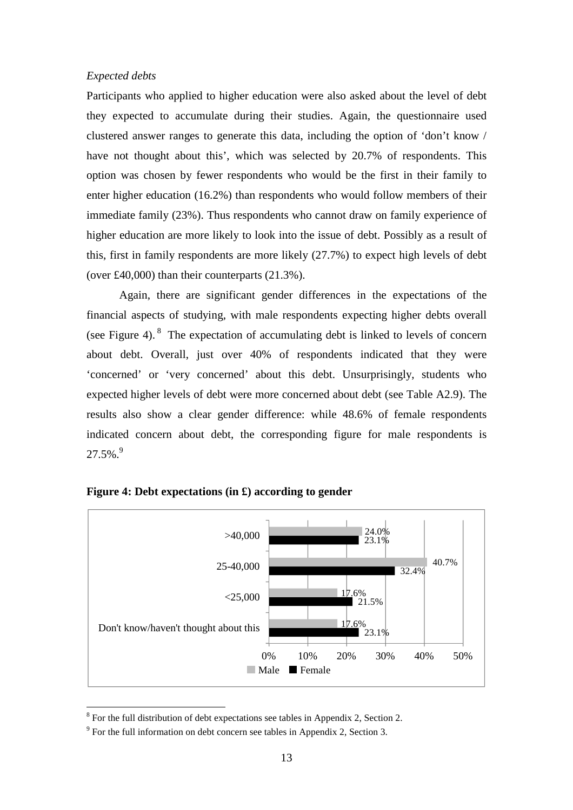#### *Expected debts*

Participants who applied to higher education were also asked about the level of debt they expected to accumulate during their studies. Again, the questionnaire used clustered answer ranges to generate this data, including the option of 'don't know / have not thought about this', which was selected by 20.7% of respondents. This option was chosen by fewer respondents who would be the first in their family to enter higher education (16.2%) than respondents who would follow members of their immediate family (23%). Thus respondents who cannot draw on family experience of higher education are more likely to look into the issue of debt. Possibly as a result of this, first in family respondents are more likely (27.7%) to expect high levels of debt (over £40,000) than their counterparts (21.3%).

Again, there are significant gender differences in the expectations of the financial aspects of studying, with male respondents expecting higher debts overall (see Figure 4). <sup>8</sup> The expectation of accumulating debt is linked to levels of concern about debt. Overall, just over 40% of respondents indicated that they were 'concerned' or 'very concerned' about this debt. Unsurprisingly, students who expected higher levels of debt were more concerned about debt (see Table A2.9). The results also show a clear gender difference: while 48.6% of female respondents indicated concern about debt, the corresponding figure for male respondents is  $27.5\%$ .<sup>9</sup>



### **Figure 4: Debt expectations (in £) according to gender**

<sup>&</sup>lt;sup>8</sup> For the full distribution of debt expectations see tables in Appendix 2, Section 2.

 $9^9$  For the full information on debt concern see tables in Appendix 2, Section 3.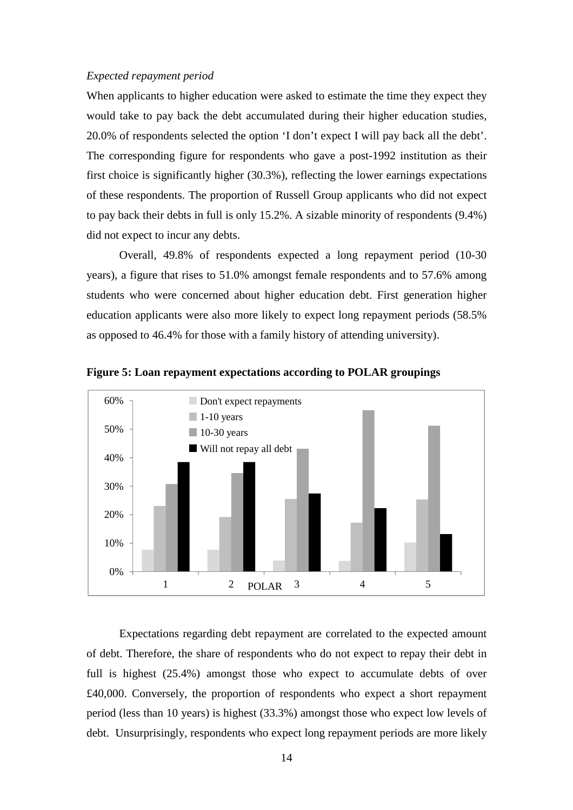#### *Expected repayment period*

When applicants to higher education were asked to estimate the time they expect they would take to pay back the debt accumulated during their higher education studies, 20.0% of respondents selected the option 'I don't expect I will pay back all the debt'. The corresponding figure for respondents who gave a post-1992 institution as their first choice is significantly higher (30.3%), reflecting the lower earnings expectations of these respondents. The proportion of Russell Group applicants who did not expect to pay back their debts in full is only 15.2%. A sizable minority of respondents (9.4%) did not expect to incur any debts.

Overall, 49.8% of respondents expected a long repayment period (10-30 years), a figure that rises to 51.0% amongst female respondents and to 57.6% among students who were concerned about higher education debt. First generation higher education applicants were also more likely to expect long repayment periods (58.5% as opposed to 46.4% for those with a family history of attending university).





Expectations regarding debt repayment are correlated to the expected amount of debt. Therefore, the share of respondents who do not expect to repay their debt in full is highest (25.4%) amongst those who expect to accumulate debts of over £40,000. Conversely, the proportion of respondents who expect a short repayment period (less than 10 years) is highest (33.3%) amongst those who expect low levels of debt. Unsurprisingly, respondents who expect long repayment periods are more likely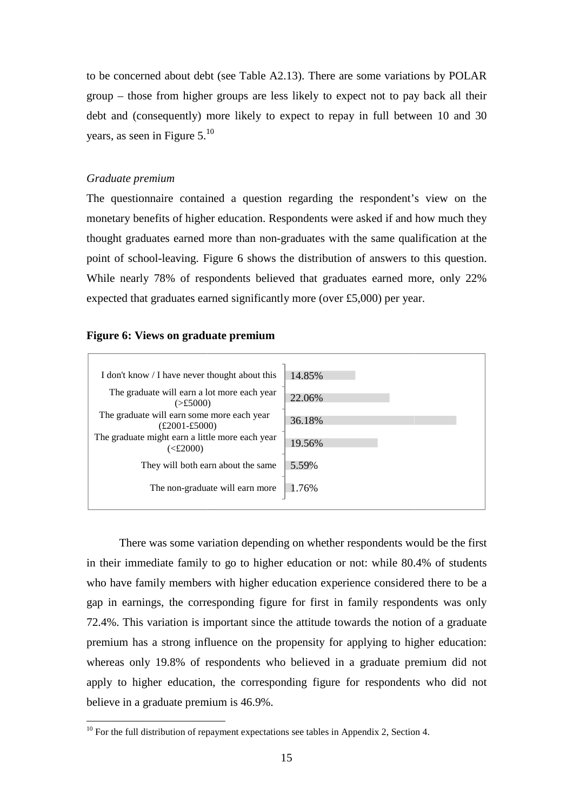to be concerned about debt (see Table A2.13). There are some variations by POLAR group – those from higher groups are less likely to expect not to pay back all their debt and (consequently) more likely to expect to repay in full between 10 and 30 years, as seen in Figure 5.<sup>10</sup>

### *Graduate premium*

 $\overline{a}$ 

#### **Figure 6: Views on graduate premium**

|                                                                                       | The questionnaire contained a question regarding the respondent's view on the       |  |  |  |  |  |
|---------------------------------------------------------------------------------------|-------------------------------------------------------------------------------------|--|--|--|--|--|
|                                                                                       | monetary benefits of higher education. Respondents were asked if and how much they  |  |  |  |  |  |
| thought graduates earned more than non-graduates with the same qualification at the   |                                                                                     |  |  |  |  |  |
| point of school-leaving. Figure 6 shows the distribution of answers to this question. |                                                                                     |  |  |  |  |  |
|                                                                                       | While nearly 78% of respondents believed that graduates earned more, only 22%       |  |  |  |  |  |
| expected that graduates earned significantly more (over $£5,000$ ) per year.          |                                                                                     |  |  |  |  |  |
|                                                                                       |                                                                                     |  |  |  |  |  |
| Figure 6: Views on graduate premium                                                   |                                                                                     |  |  |  |  |  |
|                                                                                       |                                                                                     |  |  |  |  |  |
| I don't know / I have never thought about this                                        | 14.85%                                                                              |  |  |  |  |  |
| The graduate will earn a lot more each year<br>$(\geq £5000)$                         | 22.06%                                                                              |  |  |  |  |  |
| The graduate will earn some more each year<br>$£2001-E5000$                           | 36.18%                                                                              |  |  |  |  |  |
| The graduate might earn a little more each year<br>( <b>£2000</b> )                   | 19.56%                                                                              |  |  |  |  |  |
| They will both earn about the same                                                    | 5.59%                                                                               |  |  |  |  |  |
| The non-graduate will earn more                                                       | 1.76%                                                                               |  |  |  |  |  |
|                                                                                       |                                                                                     |  |  |  |  |  |
|                                                                                       |                                                                                     |  |  |  |  |  |
|                                                                                       | There was some variation depending on whether respondents would be the first        |  |  |  |  |  |
|                                                                                       | in their immediate family to go to higher education or not: while 80.4% of students |  |  |  |  |  |
|                                                                                       | who have family members with higher education experience considered there to be a   |  |  |  |  |  |
|                                                                                       | gap in earnings, the corresponding figure for first in family respondents was only  |  |  |  |  |  |

There was some variation depending on whether respondents would be the first in their immediate family to go to higher education or not: while 80.4% of students who have family members with higher education experience considered there to be a gap in earnings, the corresponding figure for first in fa family respondents was only 72.4%. This variation is important since the attitude towards the notion of a graduate premium has a strong influence on the propensity for applying to higher education: whereas only 19.8% of respondents who believed in a graduate premium did not apply to higher education, the corresponding figure for respondents who did not believe in a graduate premium is 46.9%.

 $10$  For the full distribution of repayment expectations see tables in Appendix 2, Section 4.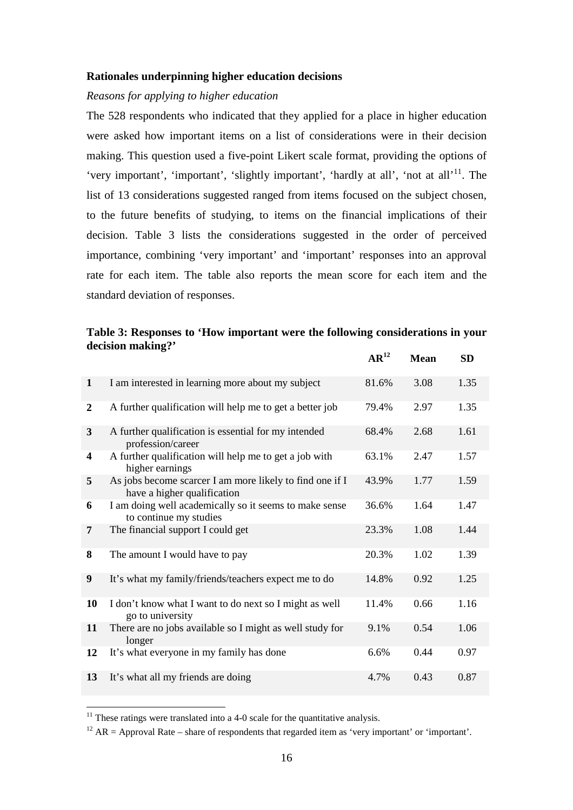### **Rationales underpinning higher education decisions**

### *Reasons for applying to higher education*

The 528 respondents who indicated that they applied for a place in higher education were asked how important items on a list of considerations were in their decision making. This question used a five-point Likert scale format, providing the options of 'very important', 'important', 'slightly important', 'hardly at all', 'not at all'<sup>11</sup>. The list of 13 considerations suggested ranged from items focused on the subject chosen, to the future benefits of studying, to items on the financial implications of their decision. Table 3 lists the considerations suggested in the order of perceived importance, combining 'very important' and 'important' responses into an approval rate for each item. The table also reports the mean score for each item and the standard deviation of responses.

### **Table 3: Responses to 'How important were the following considerations in your decision making?'**

|                  |                                                                                         | $AR^{12}$ | <b>Mean</b> | SD   |
|------------------|-----------------------------------------------------------------------------------------|-----------|-------------|------|
| $\mathbf{1}$     | I am interested in learning more about my subject                                       | 81.6%     | 3.08        | 1.35 |
| $\boldsymbol{2}$ | A further qualification will help me to get a better job                                | 79.4%     | 2.97        | 1.35 |
| 3                | A further qualification is essential for my intended<br>profession/career               | 68.4%     | 2.68        | 1.61 |
| 4                | A further qualification will help me to get a job with<br>higher earnings               | 63.1%     | 2.47        | 1.57 |
| 5                | As jobs become scarcer I am more likely to find one if I<br>have a higher qualification | 43.9%     | 1.77        | 1.59 |
| 6                | I am doing well academically so it seems to make sense<br>to continue my studies        | 36.6%     | 1.64        | 1.47 |
| 7                | The financial support I could get                                                       | 23.3%     | 1.08        | 1.44 |
| 8                | The amount I would have to pay                                                          | 20.3%     | 1.02        | 1.39 |
| 9                | It's what my family/friends/teachers expect me to do                                    | 14.8%     | 0.92        | 1.25 |
| 10               | I don't know what I want to do next so I might as well<br>go to university              | 11.4%     | 0.66        | 1.16 |
| 11               | There are no jobs available so I might as well study for<br>longer                      | 9.1%      | 0.54        | 1.06 |
| 12               | It's what everyone in my family has done                                                | 6.6%      | 0.44        | 0.97 |
| 13               | It's what all my friends are doing                                                      | 4.7%      | 0.43        | 0.87 |

 $11$  These ratings were translated into a 4-0 scale for the quantitative analysis.

<sup>&</sup>lt;sup>12</sup> AR = Approval Rate – share of respondents that regarded item as 'very important' or 'important'.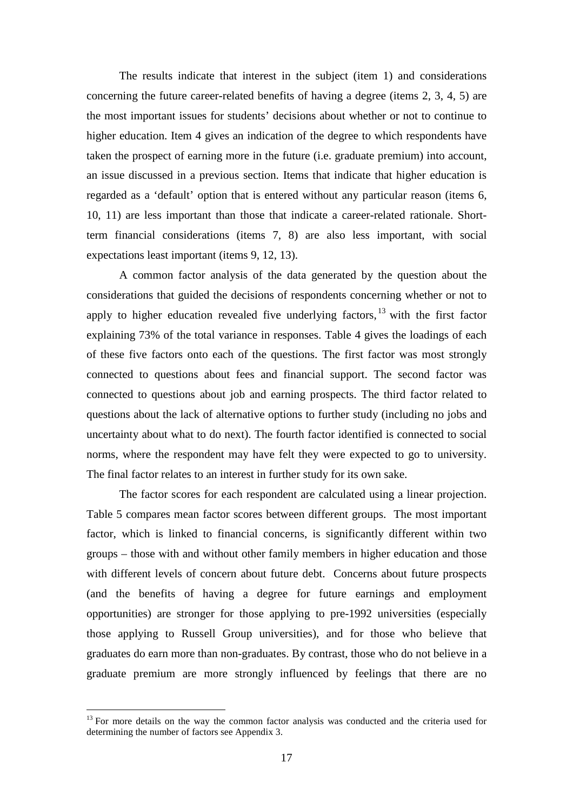The results indicate that interest in the subject (item 1) and considerations concerning the future career-related benefits of having a degree (items 2, 3, 4, 5) are the most important issues for students' decisions about whether or not to continue to higher education. Item 4 gives an indication of the degree to which respondents have taken the prospect of earning more in the future (i.e. graduate premium) into account, an issue discussed in a previous section. Items that indicate that higher education is regarded as a 'default' option that is entered without any particular reason (items 6, 10, 11) are less important than those that indicate a career-related rationale. Shortterm financial considerations (items 7, 8) are also less important, with social expectations least important (items 9, 12, 13).

A common factor analysis of the data generated by the question about the considerations that guided the decisions of respondents concerning whether or not to apply to higher education revealed five underlying factors,  $^{13}$  with the first factor explaining 73% of the total variance in responses. Table 4 gives the loadings of each of these five factors onto each of the questions. The first factor was most strongly connected to questions about fees and financial support. The second factor was connected to questions about job and earning prospects. The third factor related to questions about the lack of alternative options to further study (including no jobs and uncertainty about what to do next). The fourth factor identified is connected to social norms, where the respondent may have felt they were expected to go to university. The final factor relates to an interest in further study for its own sake.

The factor scores for each respondent are calculated using a linear projection. Table 5 compares mean factor scores between different groups. The most important factor, which is linked to financial concerns, is significantly different within two groups – those with and without other family members in higher education and those with different levels of concern about future debt. Concerns about future prospects (and the benefits of having a degree for future earnings and employment opportunities) are stronger for those applying to pre-1992 universities (especially those applying to Russell Group universities), and for those who believe that graduates do earn more than non-graduates. By contrast, those who do not believe in a graduate premium are more strongly influenced by feelings that there are no

<sup>&</sup>lt;sup>13</sup> For more details on the way the common factor analysis was conducted and the criteria used for determining the number of factors see Appendix 3.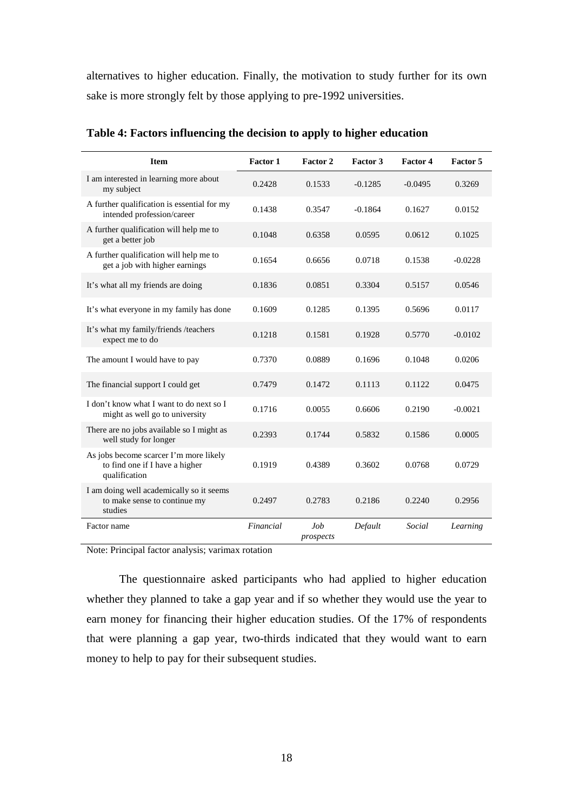alternatives to higher education. Finally, the motivation to study further for its own sake is more strongly felt by those applying to pre-1992 universities.

| <b>Item</b>                                                                               | Factor 1  | Factor 2         | Factor 3  | Factor 4  | Factor 5  |
|-------------------------------------------------------------------------------------------|-----------|------------------|-----------|-----------|-----------|
| I am interested in learning more about<br>my subject                                      | 0.2428    | 0.1533           | $-0.1285$ | $-0.0495$ | 0.3269    |
| A further qualification is essential for my<br>intended profession/career                 | 0.1438    | 0.3547           | $-0.1864$ | 0.1627    | 0.0152    |
| A further qualification will help me to<br>get a better job                               | 0.1048    | 0.6358           | 0.0595    | 0.0612    | 0.1025    |
| A further qualification will help me to<br>get a job with higher earnings                 | 0.1654    | 0.6656           | 0.0718    | 0.1538    | $-0.0228$ |
| It's what all my friends are doing                                                        | 0.1836    | 0.0851           | 0.3304    | 0.5157    | 0.0546    |
| It's what everyone in my family has done                                                  | 0.1609    | 0.1285           | 0.1395    | 0.5696    | 0.0117    |
| It's what my family/friends /teachers<br>expect me to do                                  | 0.1218    | 0.1581           | 0.1928    | 0.5770    | $-0.0102$ |
| The amount I would have to pay                                                            | 0.7370    | 0.0889           | 0.1696    | 0.1048    | 0.0206    |
| The financial support I could get                                                         | 0.7479    | 0.1472           | 0.1113    | 0.1122    | 0.0475    |
| I don't know what I want to do next so I<br>might as well go to university                | 0.1716    | 0.0055           | 0.6606    | 0.2190    | $-0.0021$ |
| There are no jobs available so I might as<br>well study for longer                        | 0.2393    | 0.1744           | 0.5832    | 0.1586    | 0.0005    |
| As jobs become scarcer I'm more likely<br>to find one if I have a higher<br>qualification | 0.1919    | 0.4389           | 0.3602    | 0.0768    | 0.0729    |
| I am doing well academically so it seems<br>to make sense to continue my<br>studies       | 0.2497    | 0.2783           | 0.2186    | 0.2240    | 0.2956    |
| Factor name                                                                               | Financial | Job<br>prospects | Default   | Social    | Learning  |

**Table 4: Factors influencing the decision to apply to higher education** 

Note: Principal factor analysis; varimax rotation

The questionnaire asked participants who had applied to higher education whether they planned to take a gap year and if so whether they would use the year to earn money for financing their higher education studies. Of the 17% of respondents that were planning a gap year, two-thirds indicated that they would want to earn money to help to pay for their subsequent studies.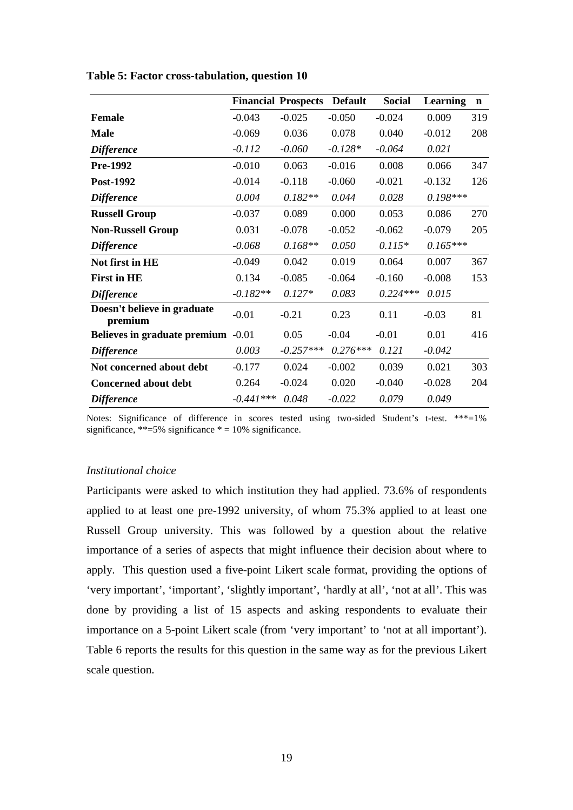|                                        |             | <b>Financial Prospects</b> | <b>Default</b> | <b>Social</b> | Learning   | $\mathbf n$ |
|----------------------------------------|-------------|----------------------------|----------------|---------------|------------|-------------|
| Female                                 | $-0.043$    | $-0.025$                   | $-0.050$       | $-0.024$      | 0.009      | 319         |
| <b>Male</b>                            | $-0.069$    | 0.036                      | 0.078          | 0.040         | $-0.012$   | 208         |
| <b>Difference</b>                      | $-0.112$    | $-0.060$                   | $-0.128*$      | $-0.064$      | 0.021      |             |
| <b>Pre-1992</b>                        | $-0.010$    | 0.063                      | $-0.016$       | 0.008         | 0.066      | 347         |
| Post-1992                              | $-0.014$    | $-0.118$                   | $-0.060$       | $-0.021$      | $-0.132$   | 126         |
| <b>Difference</b>                      | 0.004       | $0.182**$                  | 0.044          | 0.028         | $0.198***$ |             |
| <b>Russell Group</b>                   | $-0.037$    | 0.089                      | 0.000          | 0.053         | 0.086      | 270         |
| <b>Non-Russell Group</b>               | 0.031       | $-0.078$                   | $-0.052$       | $-0.062$      | $-0.079$   | 205         |
| <b>Difference</b>                      | $-0.068$    | $0.168**$                  | 0.050          | $0.115*$      | $0.165***$ |             |
| Not first in HE                        | $-0.049$    | 0.042                      | 0.019          | 0.064         | 0.007      | 367         |
| <b>First in HE</b>                     | 0.134       | $-0.085$                   | $-0.064$       | $-0.160$      | $-0.008$   | 153         |
| <b>Difference</b>                      | $-0.182**$  | $0.127*$                   | 0.083          | $0.224***$    | 0.015      |             |
| Doesn't believe in graduate<br>premium | $-0.01$     | $-0.21$                    | 0.23           | 0.11          | $-0.03$    | 81          |
| Believes in graduate premium -0.01     |             | 0.05                       | $-0.04$        | $-0.01$       | 0.01       | 416         |
| <b>Difference</b>                      | 0.003       | $-0.257***$                | $0.276***$     | 0.121         | $-0.042$   |             |
| Not concerned about debt               | $-0.177$    | 0.024                      | $-0.002$       | 0.039         | 0.021      | 303         |
| <b>Concerned about debt</b>            | 0.264       | $-0.024$                   | 0.020          | $-0.040$      | $-0.028$   | 204         |
| <b>Difference</b>                      | $-0.441***$ | 0.048                      | $-0.022$       | 0.079         | 0.049      |             |

**Table 5: Factor cross-tabulation, question 10** 

Notes: Significance of difference in scores tested using two-sided Student's t-test. \*\*\*=1% significance, \*\*=5% significance  $* = 10%$  significance.

### *Institutional choice*

Participants were asked to which institution they had applied. 73.6% of respondents applied to at least one pre-1992 university, of whom 75.3% applied to at least one Russell Group university. This was followed by a question about the relative importance of a series of aspects that might influence their decision about where to apply. This question used a five-point Likert scale format, providing the options of 'very important', 'important', 'slightly important', 'hardly at all', 'not at all'. This was done by providing a list of 15 aspects and asking respondents to evaluate their importance on a 5-point Likert scale (from 'very important' to 'not at all important'). Table 6 reports the results for this question in the same way as for the previous Likert scale question.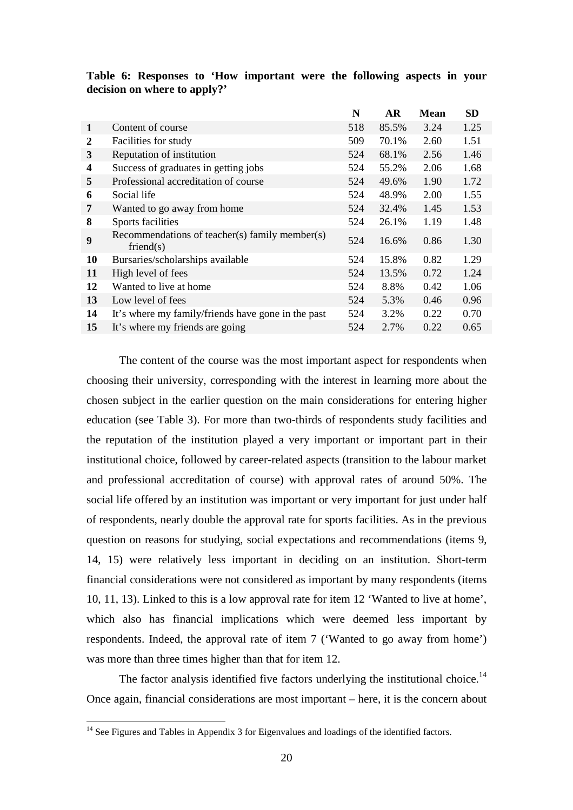|           |                                                             | N   | <b>AR</b> | <b>Mean</b> | <b>SD</b> |
|-----------|-------------------------------------------------------------|-----|-----------|-------------|-----------|
| 1         | Content of course                                           | 518 | 85.5%     | 3.24        | 1.25      |
| 2         | Facilities for study                                        | 509 | 70.1%     | 2.60        | 1.51      |
| 3         | Reputation of institution                                   | 524 | 68.1%     | 2.56        | 1.46      |
| 4         | Success of graduates in getting jobs                        | 524 | 55.2%     | 2.06        | 1.68      |
| 5         | Professional accreditation of course                        | 524 | 49.6%     | 1.90        | 1.72      |
| 6         | Social life                                                 | 524 | 48.9%     | 2.00        | 1.55      |
| 7         | Wanted to go away from home                                 | 524 | 32.4%     | 1.45        | 1.53      |
| 8         | Sports facilities                                           | 524 | 26.1%     | 1.19        | 1.48      |
| 9         | Recommendations of teacher(s) family member(s)<br>friend(s) | 524 | 16.6%     | 0.86        | 1.30      |
| <b>10</b> | Bursaries/scholarships available                            | 524 | 15.8%     | 0.82        | 1.29      |
| 11        | High level of fees                                          | 524 | 13.5%     | 0.72        | 1.24      |
| 12        | Wanted to live at home                                      | 524 | 8.8%      | 0.42        | 1.06      |
| 13        | Low level of fees                                           | 524 | 5.3%      | 0.46        | 0.96      |
| 14        | It's where my family/friends have gone in the past          | 524 | 3.2%      | 0.22        | 0.70      |
| 15        | It's where my friends are going                             | 524 | 2.7%      | 0.22        | 0.65      |

### **Table 6: Responses to 'How important were the following aspects in your decision on where to apply?'**

The content of the course was the most important aspect for respondents when choosing their university, corresponding with the interest in learning more about the chosen subject in the earlier question on the main considerations for entering higher education (see Table 3). For more than two-thirds of respondents study facilities and the reputation of the institution played a very important or important part in their institutional choice, followed by career-related aspects (transition to the labour market and professional accreditation of course) with approval rates of around 50%. The social life offered by an institution was important or very important for just under half of respondents, nearly double the approval rate for sports facilities. As in the previous question on reasons for studying, social expectations and recommendations (items 9, 14, 15) were relatively less important in deciding on an institution. Short-term financial considerations were not considered as important by many respondents (items 10, 11, 13). Linked to this is a low approval rate for item 12 'Wanted to live at home', which also has financial implications which were deemed less important by respondents. Indeed, the approval rate of item 7 ('Wanted to go away from home') was more than three times higher than that for item 12.

The factor analysis identified five factors underlying the institutional choice.<sup>14</sup> Once again, financial considerations are most important – here, it is the concern about

 $14$  See Figures and Tables in Appendix 3 for Eigenvalues and loadings of the identified factors.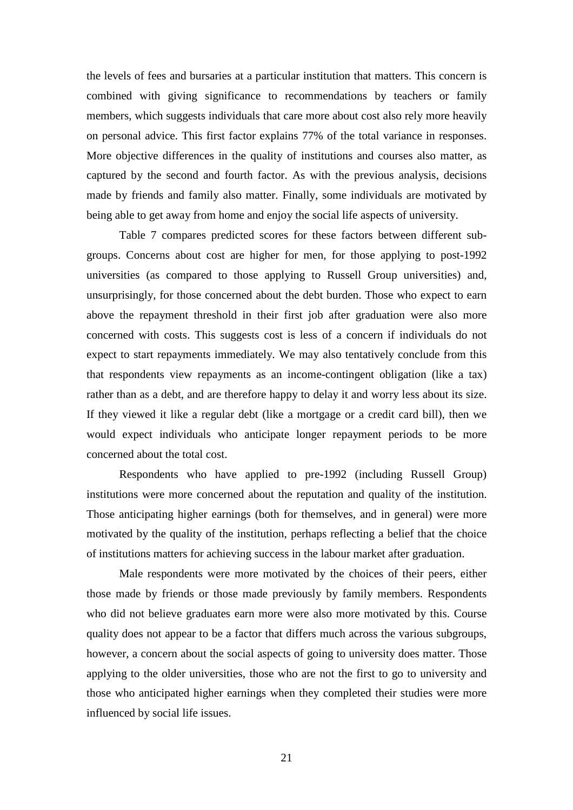the levels of fees and bursaries at a particular institution that matters. This concern is combined with giving significance to recommendations by teachers or family members, which suggests individuals that care more about cost also rely more heavily on personal advice. This first factor explains 77% of the total variance in responses. More objective differences in the quality of institutions and courses also matter, as captured by the second and fourth factor. As with the previous analysis, decisions made by friends and family also matter. Finally, some individuals are motivated by being able to get away from home and enjoy the social life aspects of university.

Table 7 compares predicted scores for these factors between different subgroups. Concerns about cost are higher for men, for those applying to post-1992 universities (as compared to those applying to Russell Group universities) and, unsurprisingly, for those concerned about the debt burden. Those who expect to earn above the repayment threshold in their first job after graduation were also more concerned with costs. This suggests cost is less of a concern if individuals do not expect to start repayments immediately. We may also tentatively conclude from this that respondents view repayments as an income-contingent obligation (like a tax) rather than as a debt, and are therefore happy to delay it and worry less about its size. If they viewed it like a regular debt (like a mortgage or a credit card bill), then we would expect individuals who anticipate longer repayment periods to be more concerned about the total cost.

Respondents who have applied to pre-1992 (including Russell Group) institutions were more concerned about the reputation and quality of the institution. Those anticipating higher earnings (both for themselves, and in general) were more motivated by the quality of the institution, perhaps reflecting a belief that the choice of institutions matters for achieving success in the labour market after graduation.

Male respondents were more motivated by the choices of their peers, either those made by friends or those made previously by family members. Respondents who did not believe graduates earn more were also more motivated by this. Course quality does not appear to be a factor that differs much across the various subgroups, however, a concern about the social aspects of going to university does matter. Those applying to the older universities, those who are not the first to go to university and those who anticipated higher earnings when they completed their studies were more influenced by social life issues.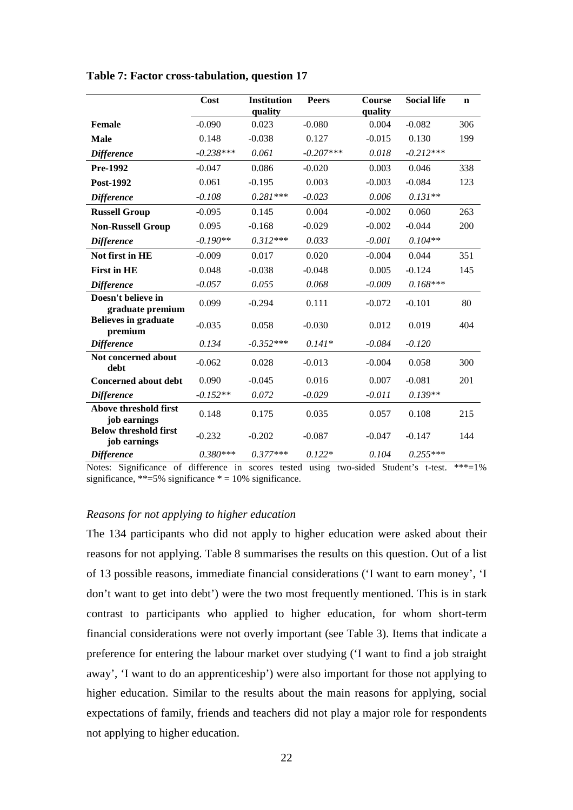|                                              | Cost        | <b>Institution</b><br>quality | <b>Peers</b> | Course<br>quality | <b>Social life</b> | $\mathbf n$ |
|----------------------------------------------|-------------|-------------------------------|--------------|-------------------|--------------------|-------------|
| Female                                       | $-0.090$    | 0.023                         | $-0.080$     | 0.004             | $-0.082$           | 306         |
| <b>Male</b>                                  | 0.148       | $-0.038$                      | 0.127        | $-0.015$          | 0.130              | 199         |
| <b>Difference</b>                            | $-0.238***$ | 0.061                         | $-0.207***$  | 0.018             | $-0.212***$        |             |
| Pre-1992                                     | $-0.047$    | 0.086                         | $-0.020$     | 0.003             | 0.046              | 338         |
| Post-1992                                    | 0.061       | $-0.195$                      | 0.003        | $-0.003$          | $-0.084$           | 123         |
| <b>Difference</b>                            | $-0.108$    | $0.281***$                    | $-0.023$     | 0.006             | $0.131**$          |             |
| <b>Russell Group</b>                         | $-0.095$    | 0.145                         | 0.004        | $-0.002$          | 0.060              | 263         |
| <b>Non-Russell Group</b>                     | 0.095       | $-0.168$                      | $-0.029$     | $-0.002$          | $-0.044$           | 200         |
| <b>Difference</b>                            | $-0.190**$  | $0.312***$                    | 0.033        | $-0.001$          | $0.104**$          |             |
| Not first in HE                              | $-0.009$    | 0.017                         | 0.020        | $-0.004$          | 0.044              | 351         |
| <b>First in HE</b>                           | 0.048       | $-0.038$                      | $-0.048$     | 0.005             | $-0.124$           | 145         |
| <b>Difference</b>                            | $-0.057$    | 0.055                         | 0.068        | $-0.009$          | $0.168***$         |             |
| Doesn't believe in<br>graduate premium       | 0.099       | $-0.294$                      | 0.111        | $-0.072$          | $-0.101$           | 80          |
| <b>Believes in graduate</b><br>premium       | $-0.035$    | 0.058                         | $-0.030$     | 0.012             | 0.019              | 404         |
| <b>Difference</b>                            | 0.134       | $-0.352***$                   | $0.141*$     | $-0.084$          | $-0.120$           |             |
| Not concerned about<br>debt                  | $-0.062$    | 0.028                         | $-0.013$     | $-0.004$          | 0.058              | 300         |
| <b>Concerned about debt</b>                  | 0.090       | $-0.045$                      | 0.016        | 0.007             | $-0.081$           | 201         |
| <b>Difference</b>                            | $-0.152**$  | 0.072                         | $-0.029$     | $-0.011$          | $0.139**$          |             |
| Above threshold first<br>job earnings        | 0.148       | 0.175                         | 0.035        | 0.057             | 0.108              | 215         |
| <b>Below threshold first</b><br>job earnings | $-0.232$    | $-0.202$                      | $-0.087$     | $-0.047$          | $-0.147$           | 144         |
| <b>Difference</b>                            | $0.380***$  | $0.377***$                    | $0.122*$     | 0.104             | $0.255***$         |             |

**Table 7: Factor cross-tabulation, question 17** 

Notes: Significance of difference in scores tested using two-sided Student's t-test. \*\*\*=1% significance, \*\*=5% significance \* = 10% significance.

## *Reasons for not applying to higher education*

The 134 participants who did not apply to higher education were asked about their reasons for not applying. Table 8 summarises the results on this question. Out of a list of 13 possible reasons, immediate financial considerations ('I want to earn money', 'I don't want to get into debt') were the two most frequently mentioned. This is in stark contrast to participants who applied to higher education, for whom short-term financial considerations were not overly important (see Table 3). Items that indicate a preference for entering the labour market over studying ('I want to find a job straight away', 'I want to do an apprenticeship') were also important for those not applying to higher education. Similar to the results about the main reasons for applying, social expectations of family, friends and teachers did not play a major role for respondents not applying to higher education.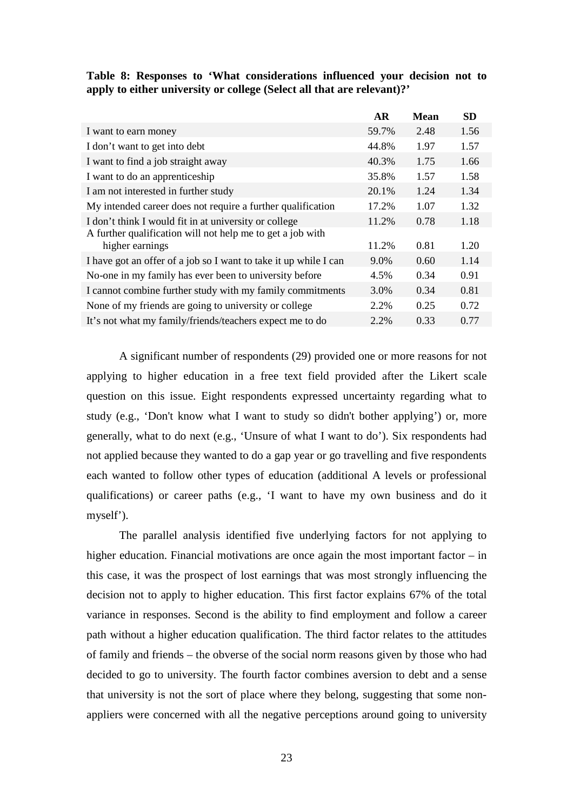|                                                                                                                     | <b>AR</b> | Mean | <b>SD</b> |
|---------------------------------------------------------------------------------------------------------------------|-----------|------|-----------|
| I want to earn money                                                                                                | 59.7%     | 2.48 | 1.56      |
| I don't want to get into debt                                                                                       | 44.8%     | 1.97 | 1.57      |
| I want to find a job straight away                                                                                  | 40.3%     | 1.75 | 1.66      |
| I want to do an apprentice ship                                                                                     | 35.8%     | 1.57 | 1.58      |
| I am not interested in further study                                                                                | 20.1%     | 1.24 | 1.34      |
| My intended career does not require a further qualification                                                         | 17.2%     | 1.07 | 1.32      |
| I don't think I would fit in at university or college<br>A further qualification will not help me to get a job with | 11.2%     | 0.78 | 1.18      |
| higher earnings                                                                                                     | 11.2%     | 0.81 | 1.20      |
| I have got an offer of a job so I want to take it up while I can                                                    | 9.0%      | 0.60 | 1.14      |
| No-one in my family has ever been to university before                                                              | 4.5%      | 0.34 | 0.91      |
| I cannot combine further study with my family commitments                                                           | 3.0%      | 0.34 | 0.81      |
| None of my friends are going to university or college                                                               | 2.2%      | 0.25 | 0.72      |
| It's not what my family/friends/teachers expect me to do                                                            | 2.2%      | 0.33 | 0.77      |

**Table 8: Responses to 'What considerations influenced your decision not to apply to either university or college (Select all that are relevant)?'** 

A significant number of respondents (29) provided one or more reasons for not applying to higher education in a free text field provided after the Likert scale question on this issue. Eight respondents expressed uncertainty regarding what to study (e.g., 'Don't know what I want to study so didn't bother applying') or, more generally, what to do next (e.g., 'Unsure of what I want to do'). Six respondents had not applied because they wanted to do a gap year or go travelling and five respondents each wanted to follow other types of education (additional A levels or professional qualifications) or career paths (e.g., 'I want to have my own business and do it myself').

The parallel analysis identified five underlying factors for not applying to higher education. Financial motivations are once again the most important factor – in this case, it was the prospect of lost earnings that was most strongly influencing the decision not to apply to higher education. This first factor explains 67% of the total variance in responses. Second is the ability to find employment and follow a career path without a higher education qualification. The third factor relates to the attitudes of family and friends – the obverse of the social norm reasons given by those who had decided to go to university. The fourth factor combines aversion to debt and a sense that university is not the sort of place where they belong, suggesting that some nonappliers were concerned with all the negative perceptions around going to university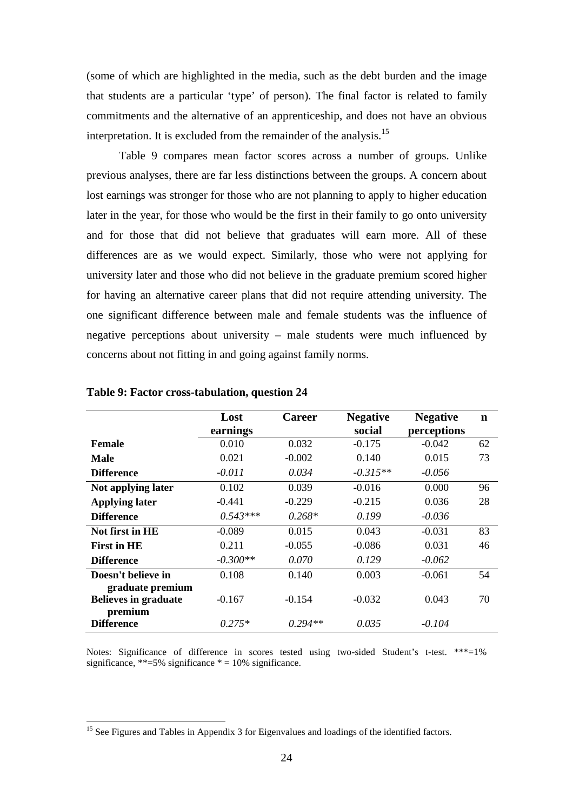(some of which are highlighted in the media, such as the debt burden and the image that students are a particular 'type' of person). The final factor is related to family commitments and the alternative of an apprenticeship, and does not have an obvious interpretation. It is excluded from the remainder of the analysis.<sup>15</sup>

Table 9 compares mean factor scores across a number of groups. Unlike previous analyses, there are far less distinctions between the groups. A concern about lost earnings was stronger for those who are not planning to apply to higher education later in the year, for those who would be the first in their family to go onto university and for those that did not believe that graduates will earn more. All of these differences are as we would expect. Similarly, those who were not applying for university later and those who did not believe in the graduate premium scored higher for having an alternative career plans that did not require attending university. The one significant difference between male and female students was the influence of negative perceptions about university – male students were much influenced by concerns about not fitting in and going against family norms.

|                             | Lost       | <b>Career</b> | <b>Negative</b> | <b>Negative</b> | n  |
|-----------------------------|------------|---------------|-----------------|-----------------|----|
|                             |            |               |                 |                 |    |
|                             | earnings   |               | social          | perceptions     |    |
| <b>Female</b>               | 0.010      | 0.032         | $-0.175$        | $-0.042$        | 62 |
| Male                        | 0.021      | $-0.002$      | 0.140           | 0.015           | 73 |
| <b>Difference</b>           | $-0.011$   | 0.034         | $-0.315**$      | $-0.056$        |    |
| Not applying later          | 0.102      | 0.039         | $-0.016$        | 0.000           | 96 |
| <b>Applying later</b>       | $-0.441$   | $-0.229$      | $-0.215$        | 0.036           | 28 |
| <b>Difference</b>           | $0.543***$ | $0.268*$      | 0.199           | $-0.036$        |    |
| Not first in HE             | $-0.089$   | 0.015         | 0.043           | $-0.031$        | 83 |
| <b>First in HE</b>          | 0.211      | $-0.055$      | $-0.086$        | 0.031           | 46 |
| <b>Difference</b>           | $-0.300**$ | 0.070         | 0.129           | $-0.062$        |    |
| Doesn't believe in          | 0.108      | 0.140         | 0.003           | $-0.061$        | 54 |
| graduate premium            |            |               |                 |                 |    |
| <b>Believes in graduate</b> | $-0.167$   | $-0.154$      | $-0.032$        | 0.043           | 70 |
| premium                     |            |               |                 |                 |    |
| <b>Difference</b>           | $0.275*$   | $0.294**$     | 0.035           | $-0.104$        |    |

#### **Table 9: Factor cross-tabulation, question 24**

 $\overline{a}$ 

Notes: Significance of difference in scores tested using two-sided Student's t-test. \*\*\*=1% significance, \*\*=5% significance  $* = 10%$  significance.

<sup>&</sup>lt;sup>15</sup> See Figures and Tables in Appendix 3 for Eigenvalues and loadings of the identified factors.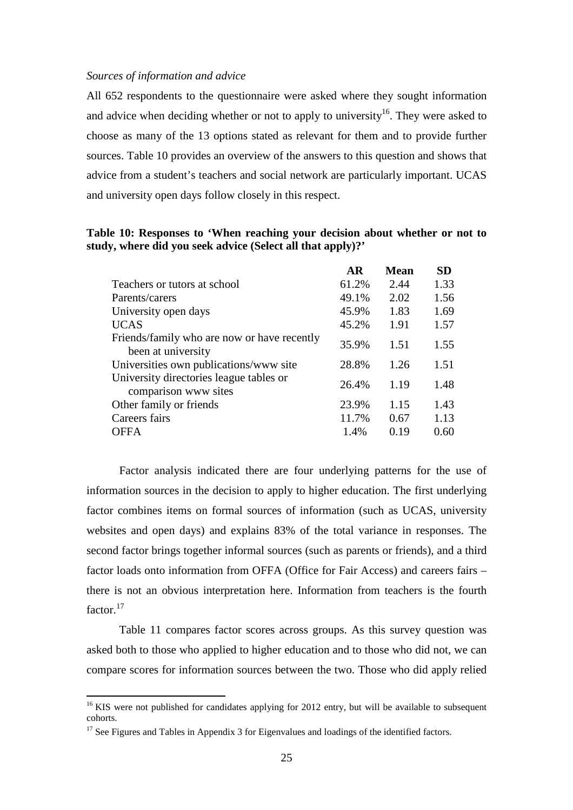#### *Sources of information and advice*

All 652 respondents to the questionnaire were asked where they sought information and advice when deciding whether or not to apply to university<sup>16</sup>. They were asked to choose as many of the 13 options stated as relevant for them and to provide further sources. Table 10 provides an overview of the answers to this question and shows that advice from a student's teachers and social network are particularly important. UCAS and university open days follow closely in this respect.

|  |  | Table 10: Responses to 'When reaching your decision about whether or not to |  |  |  |
|--|--|-----------------------------------------------------------------------------|--|--|--|
|  |  | study, where did you seek advice (Select all that apply)?'                  |  |  |  |

|                                                                   | AR    | <b>Mean</b> | <b>SD</b> |
|-------------------------------------------------------------------|-------|-------------|-----------|
| Teachers or tutors at school                                      | 61.2% | 2.44        | 1.33      |
| Parents/carers                                                    | 49.1% | 2.02        | 1.56      |
| University open days                                              | 45.9% | 1.83        | 1.69      |
| <b>UCAS</b>                                                       | 45.2% | 1.91        | 1.57      |
| Friends/family who are now or have recently<br>been at university | 35.9% | 1.51        | 1.55      |
| Universities own publications/www site                            | 28.8% | 1.26        | 1.51      |
| University directories league tables or<br>comparison www sites   | 26.4% | 1.19        | 1.48      |
| Other family or friends                                           | 23.9% | 1.15        | 1.43      |
| Careers fairs                                                     | 11.7% | 0.67        | 1.13      |
| <b>OFFA</b>                                                       | 1.4%  | 0.19        | 0.60      |
|                                                                   |       |             |           |

Factor analysis indicated there are four underlying patterns for the use of information sources in the decision to apply to higher education. The first underlying factor combines items on formal sources of information (such as UCAS, university websites and open days) and explains 83% of the total variance in responses. The second factor brings together informal sources (such as parents or friends), and a third factor loads onto information from OFFA (Office for Fair Access) and careers fairs – there is not an obvious interpretation here. Information from teachers is the fourth factor.<sup>17</sup>

Table 11 compares factor scores across groups. As this survey question was asked both to those who applied to higher education and to those who did not, we can compare scores for information sources between the two. Those who did apply relied

 $16$  KIS were not published for candidates applying for 2012 entry, but will be available to subsequent cohorts.

<sup>&</sup>lt;sup>17</sup> See Figures and Tables in Appendix 3 for Eigenvalues and loadings of the identified factors.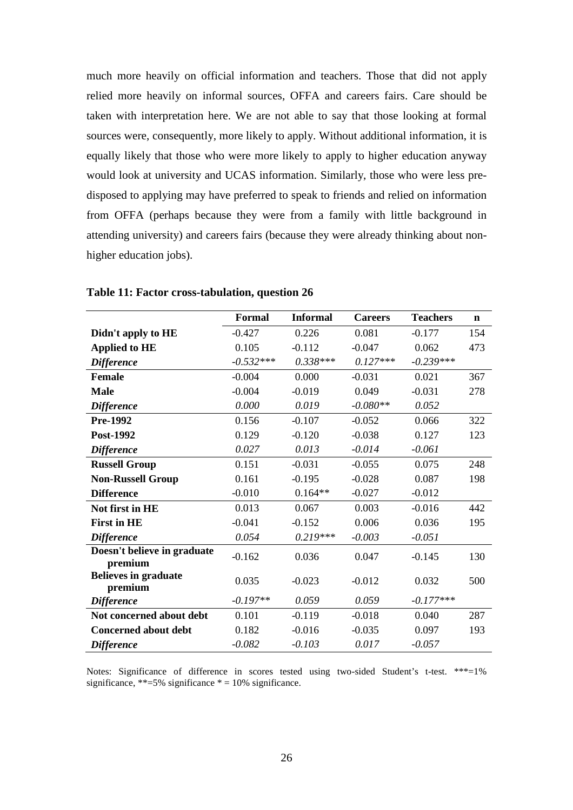much more heavily on official information and teachers. Those that did not apply relied more heavily on informal sources, OFFA and careers fairs. Care should be taken with interpretation here. We are not able to say that those looking at formal sources were, consequently, more likely to apply. Without additional information, it is equally likely that those who were more likely to apply to higher education anyway would look at university and UCAS information. Similarly, those who were less predisposed to applying may have preferred to speak to friends and relied on information from OFFA (perhaps because they were from a family with little background in attending university) and careers fairs (because they were already thinking about nonhigher education jobs).

|                                        | <b>Formal</b> | <b>Informal</b> | <b>Careers</b> | <b>Teachers</b> | $\mathbf n$ |
|----------------------------------------|---------------|-----------------|----------------|-----------------|-------------|
| Didn't apply to HE                     | $-0.427$      | 0.226           | 0.081          | $-0.177$        | 154         |
| <b>Applied to HE</b>                   | 0.105         | $-0.112$        | $-0.047$       | 0.062           | 473         |
| <b>Difference</b>                      | $-0.532***$   | $0.338***$      | $0.127***$     | $-0.239***$     |             |
| <b>Female</b>                          | $-0.004$      | 0.000           | $-0.031$       | 0.021           | 367         |
| <b>Male</b>                            | $-0.004$      | $-0.019$        | 0.049          | $-0.031$        | 278         |
| <b>Difference</b>                      | 0.000         | 0.019           | $-0.080**$     | 0.052           |             |
| <b>Pre-1992</b>                        | 0.156         | $-0.107$        | $-0.052$       | 0.066           | 322         |
| Post-1992                              | 0.129         | $-0.120$        | $-0.038$       | 0.127           | 123         |
| <b>Difference</b>                      | 0.027         | 0.013           | $-0.014$       | $-0.061$        |             |
| <b>Russell Group</b>                   | 0.151         | $-0.031$        | $-0.055$       | 0.075           | 248         |
| <b>Non-Russell Group</b>               | 0.161         | $-0.195$        | $-0.028$       | 0.087           | 198         |
| <b>Difference</b>                      | $-0.010$      | $0.164**$       | $-0.027$       | $-0.012$        |             |
| Not first in HE                        | 0.013         | 0.067           | 0.003          | $-0.016$        | 442         |
| <b>First in HE</b>                     | $-0.041$      | $-0.152$        | 0.006          | 0.036           | 195         |
| <b>Difference</b>                      | 0.054         | $0.219***$      | $-0.003$       | $-0.051$        |             |
| Doesn't believe in graduate<br>premium | $-0.162$      | 0.036           | 0.047          | $-0.145$        | 130         |
| <b>Believes in graduate</b><br>premium | 0.035         | $-0.023$        | $-0.012$       | 0.032           | 500         |
| <b>Difference</b>                      | $-0.197**$    | 0.059           | 0.059          | $-0.177***$     |             |
| Not concerned about debt               | 0.101         | $-0.119$        | $-0.018$       | 0.040           | 287         |
| <b>Concerned about debt</b>            | 0.182         | $-0.016$        | $-0.035$       | 0.097           | 193         |
| <b>Difference</b>                      | $-0.082$      | $-0.103$        | 0.017          | $-0.057$        |             |

## **Table 11: Factor cross-tabulation, question 26**

Notes: Significance of difference in scores tested using two-sided Student's t-test. \*\*\*=1% significance, \*\*=5% significance  $* = 10%$  significance.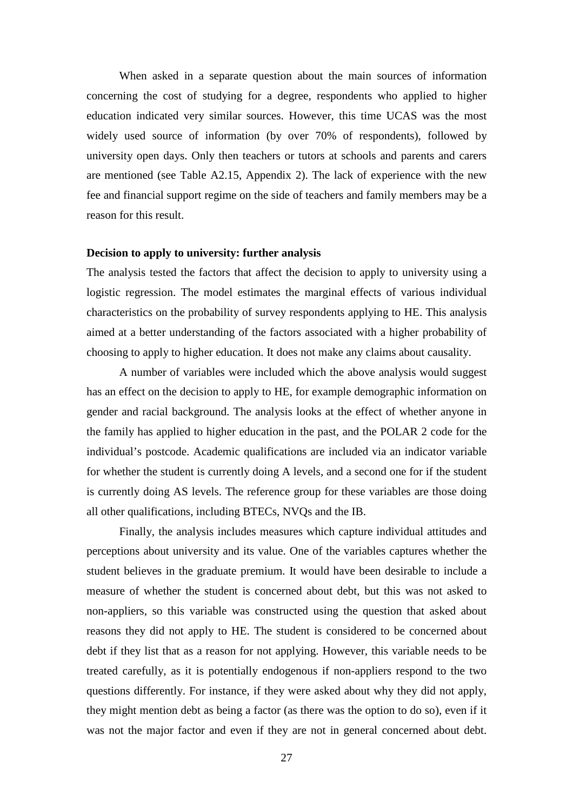When asked in a separate question about the main sources of information concerning the cost of studying for a degree, respondents who applied to higher education indicated very similar sources. However, this time UCAS was the most widely used source of information (by over 70% of respondents), followed by university open days. Only then teachers or tutors at schools and parents and carers are mentioned (see Table A2.15, Appendix 2). The lack of experience with the new fee and financial support regime on the side of teachers and family members may be a reason for this result.

#### **Decision to apply to university: further analysis**

The analysis tested the factors that affect the decision to apply to university using a logistic regression. The model estimates the marginal effects of various individual characteristics on the probability of survey respondents applying to HE. This analysis aimed at a better understanding of the factors associated with a higher probability of choosing to apply to higher education. It does not make any claims about causality.

A number of variables were included which the above analysis would suggest has an effect on the decision to apply to HE, for example demographic information on gender and racial background. The analysis looks at the effect of whether anyone in the family has applied to higher education in the past, and the POLAR 2 code for the individual's postcode. Academic qualifications are included via an indicator variable for whether the student is currently doing A levels, and a second one for if the student is currently doing AS levels. The reference group for these variables are those doing all other qualifications, including BTECs, NVQs and the IB.

Finally, the analysis includes measures which capture individual attitudes and perceptions about university and its value. One of the variables captures whether the student believes in the graduate premium. It would have been desirable to include a measure of whether the student is concerned about debt, but this was not asked to non-appliers, so this variable was constructed using the question that asked about reasons they did not apply to HE. The student is considered to be concerned about debt if they list that as a reason for not applying. However, this variable needs to be treated carefully, as it is potentially endogenous if non-appliers respond to the two questions differently. For instance, if they were asked about why they did not apply, they might mention debt as being a factor (as there was the option to do so), even if it was not the major factor and even if they are not in general concerned about debt.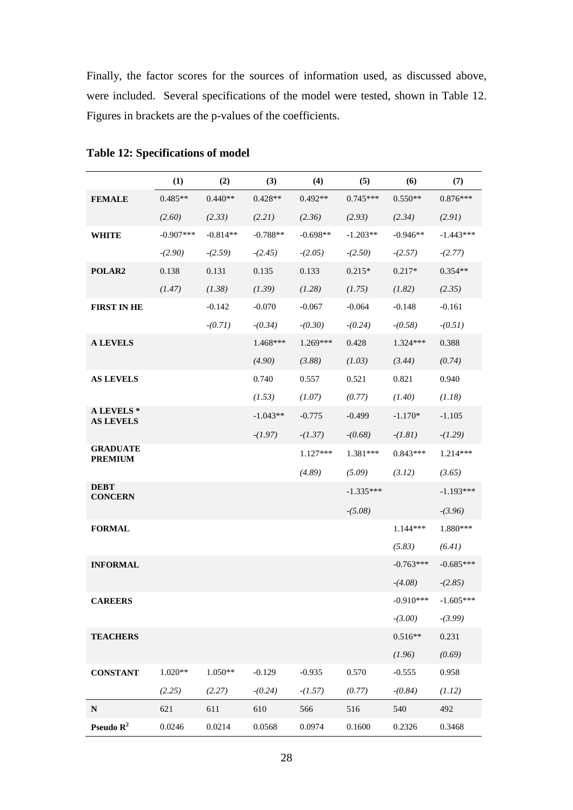Finally, the factor scores for the sources of information used, as discussed above, were included. Several specifications of the model were tested, shown in Table 12. Figures in brackets are the p-values of the coefficients.

|                                   | (1)         | (2)        | (3)        | (4)        | (5)         | (6)         | (7)         |
|-----------------------------------|-------------|------------|------------|------------|-------------|-------------|-------------|
| <b>FEMALE</b>                     | $0.485**$   | $0.440**$  | $0.428**$  | $0.492**$  | $0.745***$  | $0.550**$   | $0.876***$  |
|                                   | (2.60)      | (2.33)     | (2.21)     | (2.36)     | (2.93)      | (2.34)      | (2.91)      |
| <b>WHITE</b>                      | $-0.907***$ | $-0.814**$ | $-0.788**$ | $-0.698**$ | $-1.203**$  | $-0.946**$  | $-1.443***$ |
|                                   | $-(2.90)$   | $-(2.59)$  | $-(2.45)$  | $-(2.05)$  | $-(2.50)$   | $-(2.57)$   | $-(2.77)$   |
| POLAR2                            | 0.138       | 0.131      | 0.135      | 0.133      | $0.215*$    | $0.217*$    | $0.354**$   |
|                                   | (1.47)      | (1.38)     | (1.39)     | (1.28)     | (1.75)      | (1.82)      | (2.35)      |
| <b>FIRST IN HE</b>                |             | $-0.142$   | $-0.070$   | $-0.067$   | $-0.064$    | $-0.148$    | $-0.161$    |
|                                   |             | $-(0.71)$  | $-(0.34)$  | $-(0.30)$  | $-(0.24)$   | $-(0.58)$   | $-(0.51)$   |
| <b>A LEVELS</b>                   |             |            | 1.468***   | $1.269***$ | 0.428       | 1.324***    | 0.388       |
|                                   |             |            | (4.90)     | (3.88)     | (1.03)      | (3.44)      | (0.74)      |
| <b>AS LEVELS</b>                  |             |            | 0.740      | 0.557      | 0.521       | 0.821       | 0.940       |
|                                   |             |            | (1.53)     | (1.07)     | (0.77)      | (1.40)      | (1.18)      |
| A LEVELS *<br><b>AS LEVELS</b>    |             |            | $-1.043**$ | $-0.775$   | $-0.499$    | $-1.170*$   | $-1.105$    |
|                                   |             |            | $-(1.97)$  | $-(1.37)$  | $-(0.68)$   | $-(1.81)$   | $-(1.29)$   |
| <b>GRADUATE</b><br><b>PREMIUM</b> |             |            |            | $1.127***$ | 1.381***    | $0.843***$  | 1.214***    |
|                                   |             |            |            | (4.89)     | (5.09)      | (3.12)      | (3.65)      |
| <b>DEBT</b><br><b>CONCERN</b>     |             |            |            |            | $-1.335***$ |             | $-1.193***$ |
|                                   |             |            |            |            | $-(5.08)$   |             | $-(3.96)$   |
| <b>FORMAL</b>                     |             |            |            |            |             | 1.144***    | 1.880***    |
|                                   |             |            |            |            |             | (5.83)      | (6.41)      |
| <b>INFORMAL</b>                   |             |            |            |            |             | $-0.763***$ | $-0.685***$ |
|                                   |             |            |            |            |             | $-(4.08)$   | $-(2.85)$   |
| <b>CAREERS</b>                    |             |            |            |            |             | $-0.910***$ | $-1.605***$ |
|                                   |             |            |            |            |             | $-(3.00)$   | $-(3.99)$   |
| <b>TEACHERS</b>                   |             |            |            |            |             | $0.516**$   | 0.231       |
|                                   |             |            |            |            |             | (1.96)      | (0.69)      |
| <b>CONSTANT</b>                   | $1.020**$   | $1.050**$  | $-0.129$   | $-0.935$   | 0.570       | $-0.555$    | 0.958       |
|                                   | (2.25)      | (2.27)     | $-(0.24)$  | $-(1.57)$  | (0.77)      | $-(0.84)$   | (1.12)      |
| ${\bf N}$                         | 621         | 611        | 610        | 566        | 516         | 540         | 492         |
| Pseudo $\mathbb{R}^2$             | 0.0246      | 0.0214     | 0.0568     | 0.0974     | 0.1600      | 0.2326      | 0.3468      |

**Table 12: Specifications of model**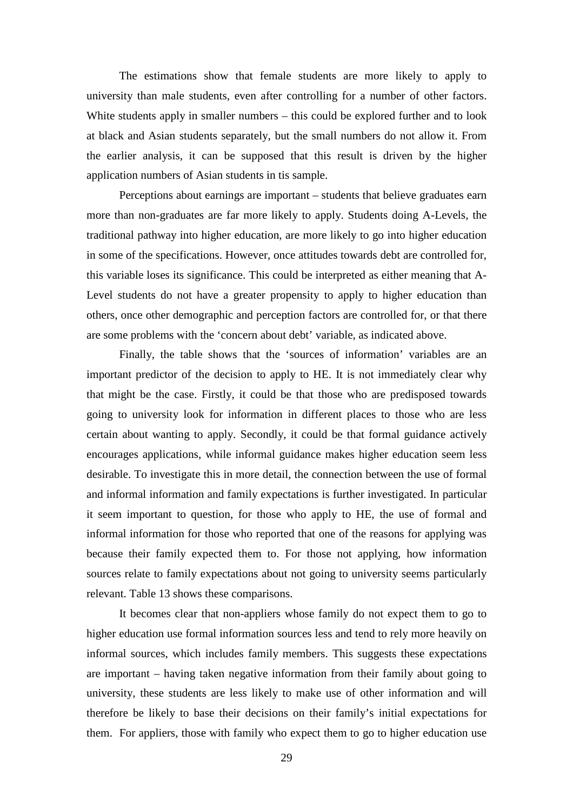The estimations show that female students are more likely to apply to university than male students, even after controlling for a number of other factors. White students apply in smaller numbers – this could be explored further and to look at black and Asian students separately, but the small numbers do not allow it. From the earlier analysis, it can be supposed that this result is driven by the higher application numbers of Asian students in tis sample.

Perceptions about earnings are important – students that believe graduates earn more than non-graduates are far more likely to apply. Students doing A-Levels, the traditional pathway into higher education, are more likely to go into higher education in some of the specifications. However, once attitudes towards debt are controlled for, this variable loses its significance. This could be interpreted as either meaning that A-Level students do not have a greater propensity to apply to higher education than others, once other demographic and perception factors are controlled for, or that there are some problems with the 'concern about debt' variable, as indicated above.

Finally, the table shows that the 'sources of information' variables are an important predictor of the decision to apply to HE. It is not immediately clear why that might be the case. Firstly, it could be that those who are predisposed towards going to university look for information in different places to those who are less certain about wanting to apply. Secondly, it could be that formal guidance actively encourages applications, while informal guidance makes higher education seem less desirable. To investigate this in more detail, the connection between the use of formal and informal information and family expectations is further investigated. In particular it seem important to question, for those who apply to HE, the use of formal and informal information for those who reported that one of the reasons for applying was because their family expected them to. For those not applying, how information sources relate to family expectations about not going to university seems particularly relevant. Table 13 shows these comparisons.

It becomes clear that non-appliers whose family do not expect them to go to higher education use formal information sources less and tend to rely more heavily on informal sources, which includes family members. This suggests these expectations are important – having taken negative information from their family about going to university, these students are less likely to make use of other information and will therefore be likely to base their decisions on their family's initial expectations for them. For appliers, those with family who expect them to go to higher education use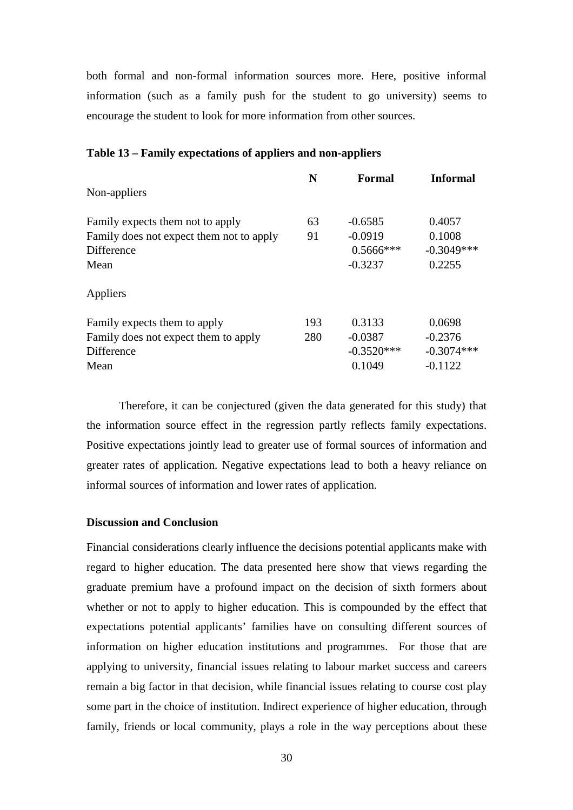both formal and non-formal information sources more. Here, positive informal information (such as a family push for the student to go university) seems to encourage the student to look for more information from other sources.

|                                          | N   | Formal       | <b>Informal</b> |
|------------------------------------------|-----|--------------|-----------------|
| Non-appliers                             |     |              |                 |
| Family expects them not to apply         | 63  | $-0.6585$    | 0.4057          |
| Family does not expect them not to apply | 91  | $-0.0919$    | 0.1008          |
| <b>Difference</b>                        |     | $0.5666$ *** | $-0.3049***$    |
| Mean                                     |     | $-0.3237$    | 0.2255          |
| Appliers                                 |     |              |                 |
| Family expects them to apply             | 193 | 0.3133       | 0.0698          |
| Family does not expect them to apply     | 280 | $-0.0387$    | $-0.2376$       |
| Difference                               |     | $-0.3520***$ | $-0.3074***$    |
| Mean                                     |     | 0.1049       | $-0.1122$       |

#### **Table 13 – Family expectations of appliers and non-appliers**

Therefore, it can be conjectured (given the data generated for this study) that the information source effect in the regression partly reflects family expectations. Positive expectations jointly lead to greater use of formal sources of information and greater rates of application. Negative expectations lead to both a heavy reliance on informal sources of information and lower rates of application.

### **Discussion and Conclusion**

Financial considerations clearly influence the decisions potential applicants make with regard to higher education. The data presented here show that views regarding the graduate premium have a profound impact on the decision of sixth formers about whether or not to apply to higher education. This is compounded by the effect that expectations potential applicants' families have on consulting different sources of information on higher education institutions and programmes. For those that are applying to university, financial issues relating to labour market success and careers remain a big factor in that decision, while financial issues relating to course cost play some part in the choice of institution. Indirect experience of higher education, through family, friends or local community, plays a role in the way perceptions about these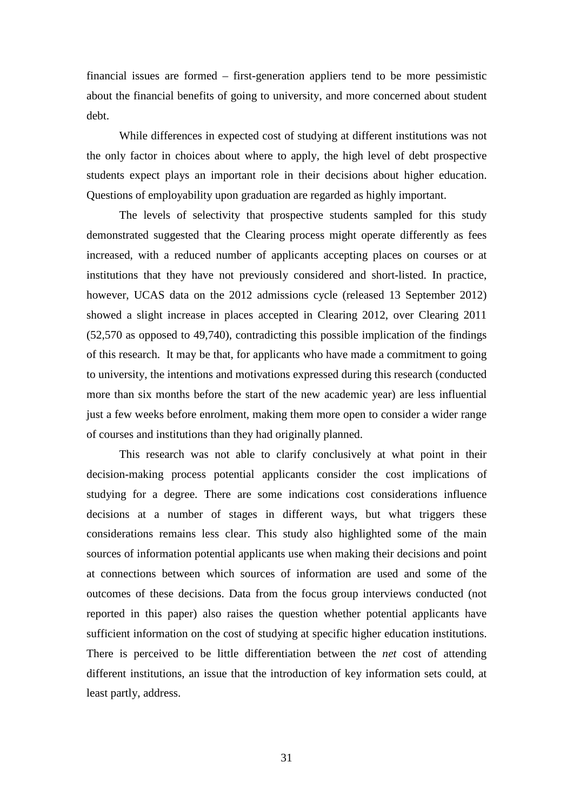financial issues are formed – first-generation appliers tend to be more pessimistic about the financial benefits of going to university, and more concerned about student debt.

While differences in expected cost of studying at different institutions was not the only factor in choices about where to apply, the high level of debt prospective students expect plays an important role in their decisions about higher education. Questions of employability upon graduation are regarded as highly important.

The levels of selectivity that prospective students sampled for this study demonstrated suggested that the Clearing process might operate differently as fees increased, with a reduced number of applicants accepting places on courses or at institutions that they have not previously considered and short-listed. In practice, however, UCAS data on the 2012 admissions cycle (released 13 September 2012) showed a slight increase in places accepted in Clearing 2012, over Clearing 2011 (52,570 as opposed to 49,740), contradicting this possible implication of the findings of this research. It may be that, for applicants who have made a commitment to going to university, the intentions and motivations expressed during this research (conducted more than six months before the start of the new academic year) are less influential just a few weeks before enrolment, making them more open to consider a wider range of courses and institutions than they had originally planned.

This research was not able to clarify conclusively at what point in their decision-making process potential applicants consider the cost implications of studying for a degree. There are some indications cost considerations influence decisions at a number of stages in different ways, but what triggers these considerations remains less clear. This study also highlighted some of the main sources of information potential applicants use when making their decisions and point at connections between which sources of information are used and some of the outcomes of these decisions. Data from the focus group interviews conducted (not reported in this paper) also raises the question whether potential applicants have sufficient information on the cost of studying at specific higher education institutions. There is perceived to be little differentiation between the *net* cost of attending different institutions, an issue that the introduction of key information sets could, at least partly, address.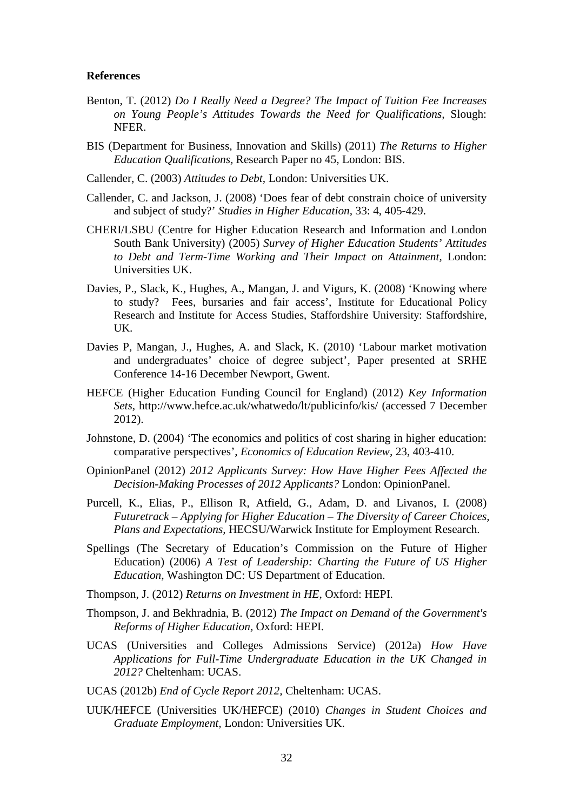#### **References**

- Benton, T. (2012) *Do I Really Need a Degree? The Impact of Tuition Fee Increases on Young People's Attitudes Towards the Need for Qualifications,* Slough: NFER.
- BIS (Department for Business, Innovation and Skills) (2011) *The Returns to Higher Education Qualifications,* Research Paper no 45, London: BIS.
- Callender, C. (2003) *Attitudes to Debt,* London: Universities UK.
- Callender, C. and Jackson, J. (2008) 'Does fear of debt constrain choice of university and subject of study?' *Studies in Higher Education,* 33: 4, 405-429.
- CHERI/LSBU (Centre for Higher Education Research and Information and London South Bank University) (2005) *Survey of Higher Education Students' Attitudes to Debt and Term-Time Working and Their Impact on Attainment,* London: Universities UK.
- Davies, P., Slack, K., Hughes, A., Mangan, J. and Vigurs, K. (2008) 'Knowing where to study? Fees, bursaries and fair access', Institute for Educational Policy Research and Institute for Access Studies, Staffordshire University: Staffordshire, UK.
- Davies P, Mangan, J., Hughes, A. and Slack, K. (2010) 'Labour market motivation and undergraduates' choice of degree subject', Paper presented at SRHE Conference 14-16 December Newport, Gwent.
- HEFCE (Higher Education Funding Council for England) (2012) *Key Information Sets,* http://www.hefce.ac.uk/whatwedo/lt/publicinfo/kis/ (accessed 7 December 2012).
- Johnstone, D. (2004) 'The economics and politics of cost sharing in higher education: comparative perspectives', *Economics of Education Review,* 23, 403-410.
- OpinionPanel (2012) *2012 Applicants Survey: How Have Higher Fees Affected the Decision-Making Processes of 2012 Applicants?* London: OpinionPanel.
- Purcell, K., Elias, P., Ellison R, Atfield, G., Adam, D. and Livanos, I. (2008) *Futuretrack – Applying for Higher Education – The Diversity of Career Choices, Plans and Expectations,* HECSU/Warwick Institute for Employment Research.
- Spellings (The Secretary of Education's Commission on the Future of Higher Education) (2006) *A Test of Leadership: Charting the Future of US Higher Education,* Washington DC: US Department of Education.
- Thompson, J. (2012) *Returns on Investment in HE,* Oxford: HEPI.
- Thompson, J. and Bekhradnia, B. (2012) *The Impact on Demand of the Government's Reforms of Higher Education,* Oxford: HEPI.
- UCAS (Universities and Colleges Admissions Service) (2012a) *How Have Applications for Full-Time Undergraduate Education in the UK Changed in 2012?* Cheltenham: UCAS.
- UCAS (2012b) *End of Cycle Report 2012,* Cheltenham: UCAS.
- UUK/HEFCE (Universities UK/HEFCE) (2010) *Changes in Student Choices and Graduate Employment,* London: Universities UK.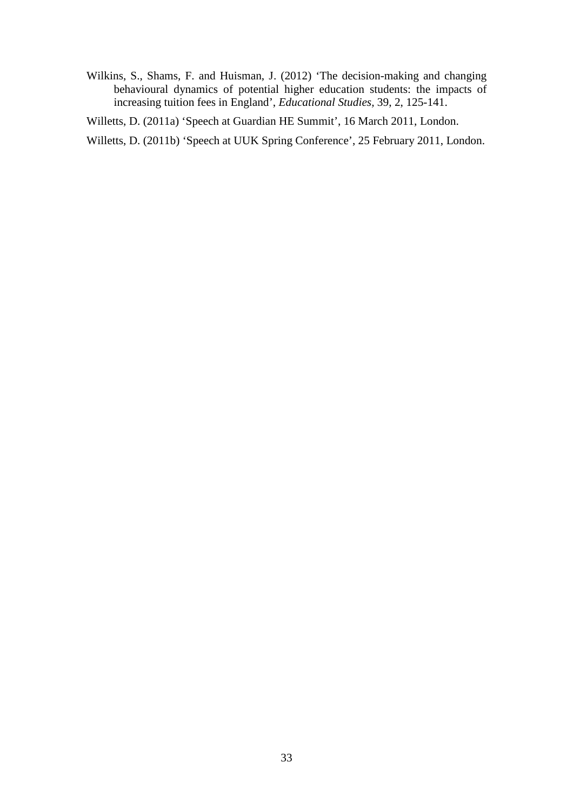Wilkins, S., Shams, F. and Huisman, J. (2012) 'The decision-making and changing behavioural dynamics of potential higher education students: the impacts of increasing tuition fees in England', *Educational Studies,* 39, 2, 125-141.

Willetts, D. (2011a) 'Speech at Guardian HE Summit', 16 March 2011, London.

Willetts, D. (2011b) 'Speech at UUK Spring Conference', 25 February 2011, London.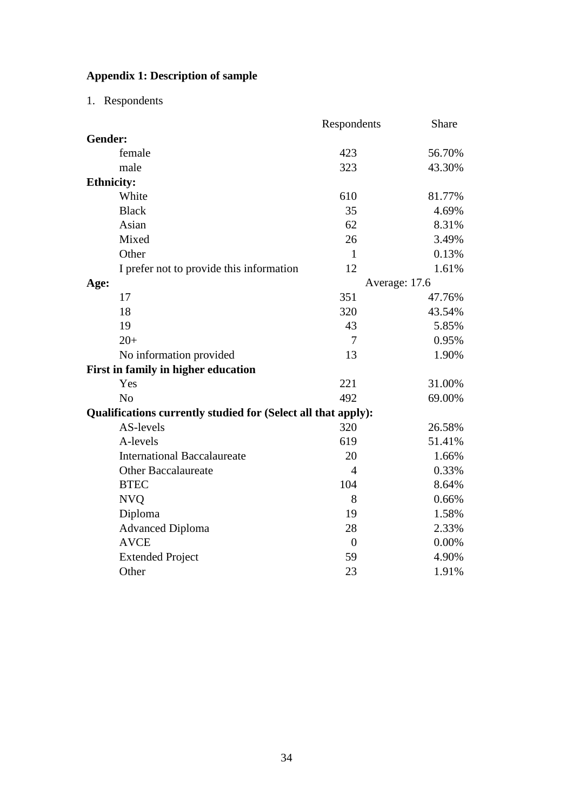# **Appendix 1: Description of sample**

1. Respondents

|                                                               | Respondents    | Share         |
|---------------------------------------------------------------|----------------|---------------|
| Gender:                                                       |                |               |
| female                                                        | 423            | 56.70%        |
| male                                                          | 323            | 43.30%        |
| <b>Ethnicity:</b>                                             |                |               |
| White                                                         | 610            | 81.77%        |
| <b>Black</b>                                                  | 35             | 4.69%         |
| Asian                                                         | 62             | 8.31%         |
| Mixed                                                         | 26             | 3.49%         |
| Other                                                         | $\mathbf{1}$   | 0.13%         |
| I prefer not to provide this information                      | 12             | 1.61%         |
| Age:                                                          |                | Average: 17.6 |
| 17                                                            | 351            | 47.76%        |
| 18                                                            | 320            | 43.54%        |
| 19                                                            | 43             | 5.85%         |
| $20+$                                                         | 7              | 0.95%         |
| No information provided                                       | 13             | 1.90%         |
| First in family in higher education                           |                |               |
| Yes                                                           | 221            | 31.00%        |
| N <sub>o</sub>                                                | 492            | 69.00%        |
| Qualifications currently studied for (Select all that apply): |                |               |
| AS-levels                                                     | 320            | 26.58%        |
| A-levels                                                      | 619            | 51.41%        |
| <b>International Baccalaureate</b>                            | 20             | 1.66%         |
| <b>Other Baccalaureate</b>                                    | $\overline{4}$ | 0.33%         |
| <b>BTEC</b>                                                   | 104            | 8.64%         |
| <b>NVO</b>                                                    | 8              | 0.66%         |
| Diploma                                                       | 19             | 1.58%         |
| <b>Advanced Diploma</b>                                       | 28             | 2.33%         |
| <b>AVCE</b>                                                   | $\overline{0}$ | 0.00%         |
| <b>Extended Project</b>                                       | 59             | 4.90%         |
| Other                                                         | 23             | 1.91%         |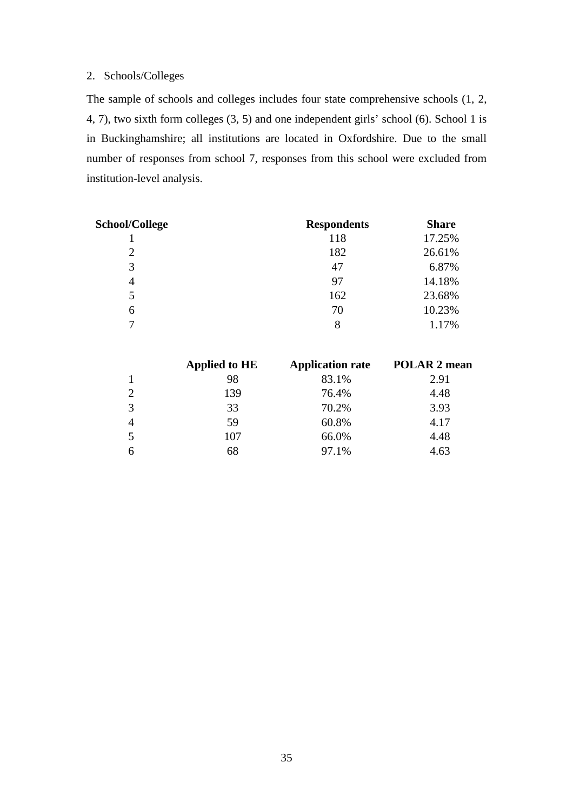# 2. Schools/Colleges

The sample of schools and colleges includes four state comprehensive schools (1, 2, 4, 7), two sixth form colleges (3, 5) and one independent girls' school (6). School 1 is in Buckinghamshire; all institutions are located in Oxfordshire. Due to the small number of responses from school 7, responses from this school were excluded from institution-level analysis.

| School/College | <b>Respondents</b> | <b>Share</b> |
|----------------|--------------------|--------------|
|                | 118                | 17.25%       |
| 2              | 182                | 26.61%       |
| 3              | 47                 | 6.87%        |
| $\overline{4}$ | 97                 | 14.18%       |
| 5              | 162                | 23.68%       |
| 6              | 70                 | 10.23%       |
|                | 8                  | 1.17%        |

|                | <b>Applied to HE</b> | <b>Application rate</b> | <b>POLAR 2 mean</b> |
|----------------|----------------------|-------------------------|---------------------|
| 1              | 98                   | 83.1%                   | 2.91                |
| 2              | 139                  | 76.4%                   | 4.48                |
| 3              | 33                   | 70.2%                   | 3.93                |
| $\overline{4}$ | 59                   | 60.8%                   | 4.17                |
| 5              | 107                  | 66.0%                   | 4.48                |
| 6              | 68                   | 97.1%                   | 4.63                |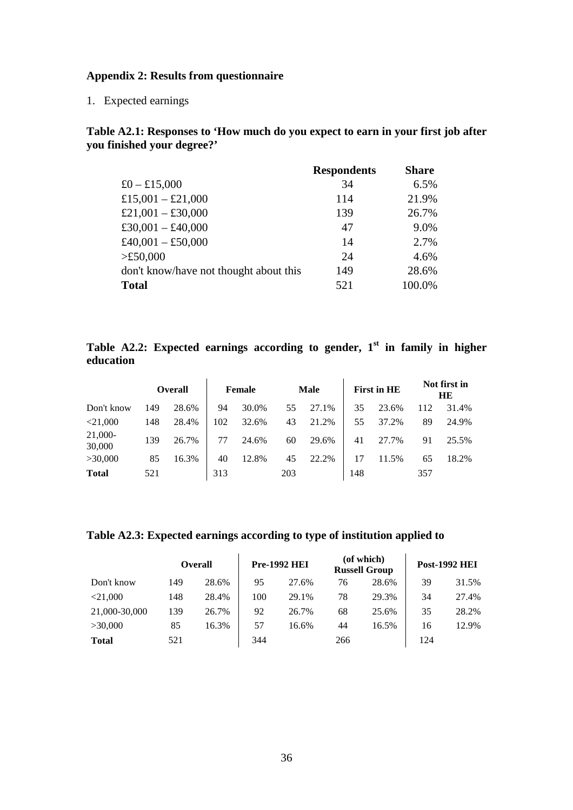### **Appendix 2: Results from questionnaire**

1. Expected earnings

# **Table A2.1: Responses to 'How much do you expect to earn in your first job after you finished your degree?'**

|                                        | <b>Respondents</b> | <b>Share</b> |
|----------------------------------------|--------------------|--------------|
| £0 – £15,000                           | 34                 | 6.5%         |
| £15,001 - £21,000                      | 114                | 21.9%        |
| £21,001 - £30,000                      | 139                | 26.7%        |
| £30,001 - £40,000                      | 47                 | 9.0%         |
| £40,001 - £50,000                      | 14                 | 2.7%         |
| >£50,000                               | 24                 | 4.6%         |
| don't know/have not thought about this | 149                | 28.6%        |
| <b>Total</b>                           | 521                | 100.0%       |

# **Table A2.2: Expected earnings according to gender, 1 st in family in higher education**

|                   |     | <b>Overall</b> |     | Female |     | <b>Male</b> |     | <b>First in HE</b> |     | Not first in<br>HЕ |
|-------------------|-----|----------------|-----|--------|-----|-------------|-----|--------------------|-----|--------------------|
| Don't know        | 149 | 28.6%          | 94  | 30.0%  | 55  | 27.1%       | 35  | 23.6%              | 112 | 31.4%              |
| $<$ 21,000        | 148 | 28.4%          | 102 | 32.6%  | 43  | 21.2%       | 55  | 37.2%              | 89  | 24.9%              |
| 21,000-<br>30,000 | 139 | 26.7%          | 77  | 24.6%  | 60  | 29.6%       | 41  | 27.7%              | 91  | 25.5%              |
| >30,000           | 85  | 16.3%          | 40  | 12.8%  | 45  | 22.2%       | 17  | 11.5%              | 65  | 18.2%              |
| <b>Total</b>      | 521 |                | 313 |        | 203 |             | 148 |                    | 357 |                    |

# **Table A2.3: Expected earnings according to type of institution applied to**

|               | <b>Overall</b> |       | <b>Pre-1992 HEI</b> |       |     | (of which)<br><b>Russell Group</b> | <b>Post-1992 HEI</b> |       |  |
|---------------|----------------|-------|---------------------|-------|-----|------------------------------------|----------------------|-------|--|
| Don't know    | 149            | 28.6% | 95                  | 27.6% | 76  | 28.6%                              | 39                   | 31.5% |  |
| $<$ 21,000    | 148            | 28.4% | 100                 | 29.1% | 78  | 29.3%                              | 34                   | 27.4% |  |
| 21,000-30,000 | 139            | 26.7% | 92                  | 26.7% | 68  | 25.6%                              | 35                   | 28.2% |  |
| >30,000       | 85             | 16.3% | 57                  | 16.6% | 44  | 16.5%                              | 16                   | 12.9% |  |
| <b>Total</b>  | 521            |       | 344                 |       | 266 |                                    | 124                  |       |  |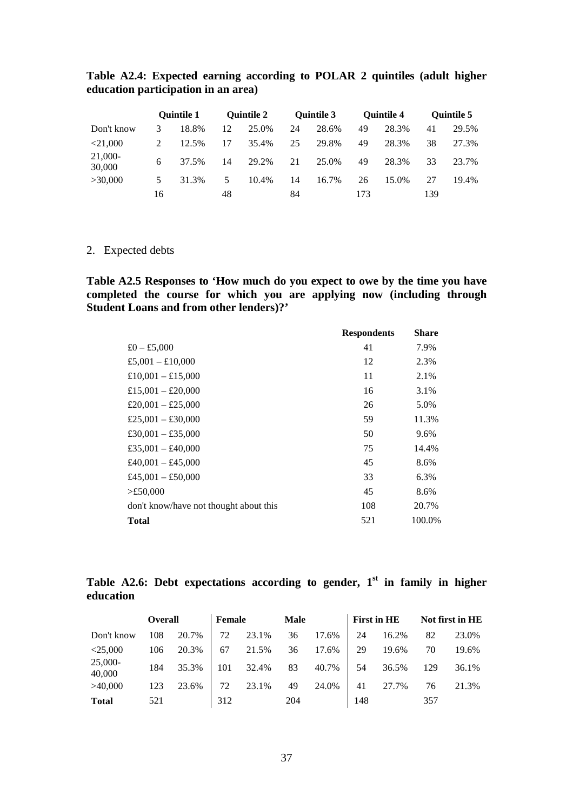|                   |    | <b>Ouintile 1</b> |    | <b>Ouintile 2</b> |    | <b>Ouintile 3</b> |     | <b>Ouintile 4</b> |     | <b>Ouintile 5</b> |
|-------------------|----|-------------------|----|-------------------|----|-------------------|-----|-------------------|-----|-------------------|
| Don't know        | 3  | 18.8%             | 12 | 25.0%             | 24 | 28.6%             | 49  | 28.3%             | 41  | 29.5%             |
| $<$ 21.000        |    | 12.5%             | 17 | 35.4%             | 25 | 29.8%             | 49  | 28.3%             | 38  | 27.3%             |
| 21,000-<br>30,000 | 6  | 37.5%             | 14 | 29.2%             | 21 | 25.0%             | 49  | 28.3%             | 33  | 23.7%             |
| >30,000           | 5  | 31.3%             | 5  | 10.4%             | 14 | 16.7%             | 26  | 15.0%             | 27  | 19.4%             |
|                   | 16 |                   | 48 |                   | 84 |                   | 173 |                   | 139 |                   |

# **Table A2.4: Expected earning according to POLAR 2 quintiles (adult higher education participation in an area)**

# 2. Expected debts

**Table A2.5 Responses to 'How much do you expect to owe by the time you have completed the course for which you are applying now (including through Student Loans and from other lenders)?'** 

| 41<br>7.9%<br>12<br>2.3%<br>11<br>2.1%<br>16<br>3.1%<br>26<br>5.0%<br>11.3%<br>59<br>50<br>9.6%<br>75<br>14.4%<br>45<br>8.6%<br>33<br>6.3%<br>45<br>8.6%<br>108<br>20.7%<br>521<br>100.0% |                                        | <b>Respondents</b> | <b>Share</b> |
|-------------------------------------------------------------------------------------------------------------------------------------------------------------------------------------------|----------------------------------------|--------------------|--------------|
|                                                                                                                                                                                           | £0 – £5,000                            |                    |              |
|                                                                                                                                                                                           | £5,001 - £10,000                       |                    |              |
|                                                                                                                                                                                           | £10,001 - £15,000                      |                    |              |
|                                                                                                                                                                                           | £15,001 - £20,000                      |                    |              |
|                                                                                                                                                                                           | £20,001 - £25,000                      |                    |              |
|                                                                                                                                                                                           | £25,001 - £30,000                      |                    |              |
|                                                                                                                                                                                           | £30,001 - £35,000                      |                    |              |
|                                                                                                                                                                                           | £35,001 - £40,000                      |                    |              |
|                                                                                                                                                                                           | £40,001 - £45,000                      |                    |              |
|                                                                                                                                                                                           | £45,001 - £50,000                      |                    |              |
|                                                                                                                                                                                           | >£50,000                               |                    |              |
|                                                                                                                                                                                           | don't know/have not thought about this |                    |              |
|                                                                                                                                                                                           | <b>Total</b>                           |                    |              |

# **Table A2.6: Debt expectations according to gender, 1 st in family in higher education**

|                     | <b>Overall</b> |       | Female |       | <b>Male</b> |       |     | <b>First in HE</b> |     | Not first in HE |
|---------------------|----------------|-------|--------|-------|-------------|-------|-----|--------------------|-----|-----------------|
| Don't know          | 108            | 20.7% | 72     | 23.1% | 36          | 17.6% | 24  | 16.2%              | 82  | 23.0%           |
| $<$ 25,000          | 106            | 20.3% | 67     | 21.5% | 36          | 17.6% | 29  | 19.6%              | 70  | 19.6%           |
| $25,000-$<br>40,000 | 184            | 35.3% | 101    | 32.4% | 83          | 40.7% | 54  | 36.5%              | 129 | 36.1%           |
| >40,000             | 123            | 23.6% | 72     | 23.1% | 49          | 24.0% | 41  | 27.7%              | 76  | 21.3%           |
| <b>Total</b>        | 521            |       | 312    |       | 204         |       | 148 |                    | 357 |                 |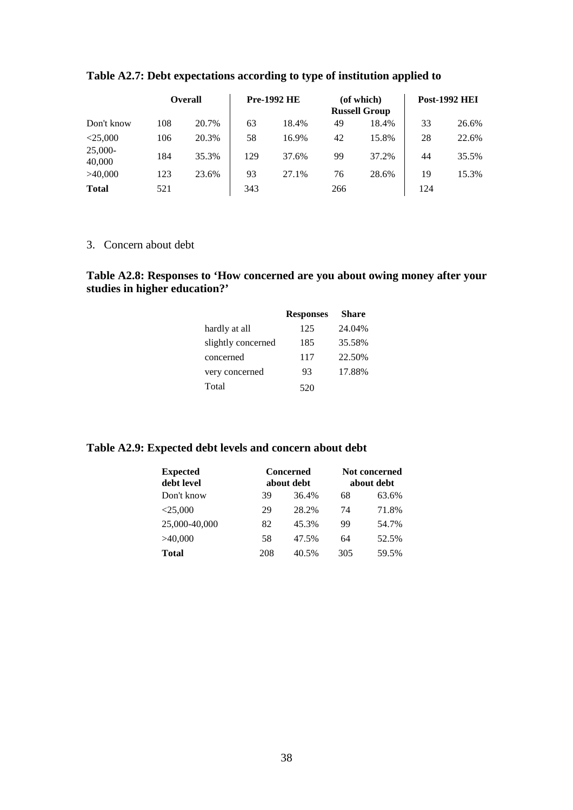|                     |     | <b>Overall</b> |     | <b>Pre-1992 HE</b> |     | (of which)<br><b>Russell Group</b> |     | <b>Post-1992 HEI</b> |
|---------------------|-----|----------------|-----|--------------------|-----|------------------------------------|-----|----------------------|
| Don't know          | 108 | 20.7%          | 63  | 18.4%              | 49  | 18.4%                              | 33  | 26.6%                |
| $<$ 25.000          | 106 | 20.3%          | 58  | 16.9%              | 42  | 15.8%                              | 28  | 22.6%                |
| $25,000-$<br>40,000 | 184 | 35.3%          | 129 | 37.6%              | 99  | 37.2%                              | 44  | 35.5%                |
| >40,000             | 123 | 23.6%          | 93  | 27.1%              | 76  | 28.6%                              | 19  | 15.3%                |
| <b>Total</b>        | 521 |                | 343 |                    | 266 |                                    | 124 |                      |

# **Table A2.7: Debt expectations according to type of institution applied to**

3. Concern about debt

# **Table A2.8: Responses to 'How concerned are you about owing money after your studies in higher education?'**

|                    | <b>Responses</b> | <b>Share</b> |
|--------------------|------------------|--------------|
| hardly at all      | 125              | 24.04%       |
| slightly concerned | 185              | 35.58%       |
| concerned          | 117              | 22.50%       |
| very concerned     | 93               | 17.88%       |
| Total              | 520              |              |

# **Table A2.9: Expected debt levels and concern about debt**

| <b>Expected</b> |     | <b>Concerned</b> | <b>Not concerned</b> |       |  |
|-----------------|-----|------------------|----------------------|-------|--|
| debt level      |     | about debt       | about debt           |       |  |
| Don't know      | 39  | 36.4%            | 68                   | 63.6% |  |
| $<$ 25,000      | 29  | 28.2%            | 74                   | 71.8% |  |
| 25,000-40,000   | 82  | 45.3%            | 99                   | 54.7% |  |
| >40,000         | 58  | 47.5%            | 64                   | 52.5% |  |
| <b>Total</b>    | 208 | 40.5%            | 305                  | 59.5% |  |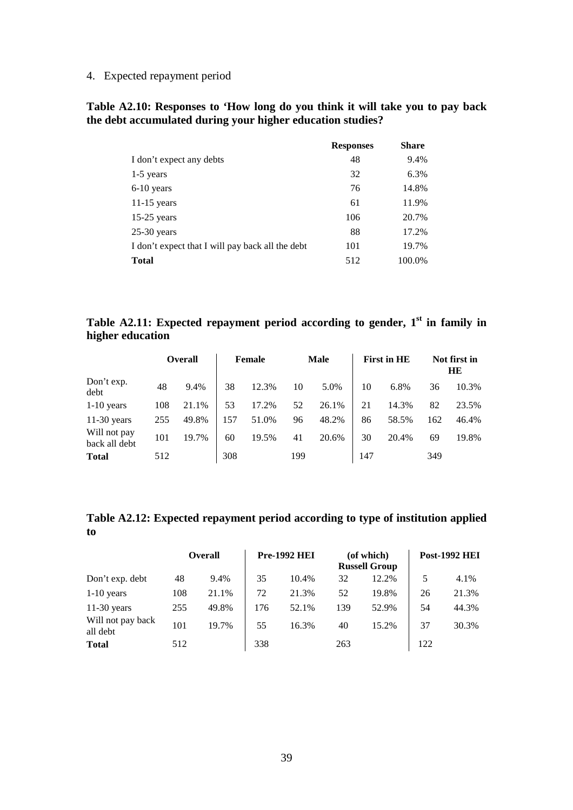4. Expected repayment period

# **Table A2.10: Responses to 'How long do you think it will take you to pay back the debt accumulated during your higher education studies?**

|                                                  | <b>Responses</b> | <b>Share</b> |
|--------------------------------------------------|------------------|--------------|
| I don't expect any debts                         | 48               | 9.4%         |
| 1-5 years                                        | 32               | 6.3%         |
| $6-10$ years                                     | 76               | 14.8%        |
| $11-15$ years                                    | 61               | 11.9%        |
| $15-25$ years                                    | 106              | 20.7%        |
| $25-30$ years                                    | 88               | 17.2%        |
| I don't expect that I will pay back all the debt | 101              | 19.7%        |
| <b>Total</b>                                     | 512              | 100.0%       |

# **Table A2.11: Expected repayment period according to gender, 1st in family in higher education**

|                               |     | <b>Overall</b> |     | Female |     | <b>Male</b> |     | <b>First in HE</b> |     | Not first in<br>HE |
|-------------------------------|-----|----------------|-----|--------|-----|-------------|-----|--------------------|-----|--------------------|
| Don't exp.<br>debt            | 48  | 9.4%           | 38  | 12.3%  | 10  | 5.0%        | 10  | 6.8%               | 36  | 10.3%              |
| $1-10$ years                  | 108 | 21.1%          | 53  | 17.2%  | 52  | 26.1%       | 21  | 14.3%              | 82  | 23.5%              |
| $11-30$ years                 | 255 | 49.8%          | 157 | 51.0%  | 96  | 48.2%       | 86  | 58.5%              | 162 | 46.4%              |
| Will not pay<br>back all debt | 101 | 19.7%          | 60  | 19.5%  | 41  | 20.6%       | 30  | 20.4%              | 69  | 19.8%              |
| <b>Total</b>                  | 512 |                | 308 |        | 199 |             | 147 |                    | 349 |                    |

# **Table A2.12: Expected repayment period according to type of institution applied to**

|                               |     | <b>Overall</b> |     | <b>Pre-1992 HEI</b> |     | (of which)<br><b>Russell Group</b> |     | <b>Post-1992 HEI</b> |
|-------------------------------|-----|----------------|-----|---------------------|-----|------------------------------------|-----|----------------------|
| Don't exp. debt               | 48  | 9.4%           | 35  | 10.4%               | 32  | 12.2%                              | 5   | 4.1%                 |
| $1-10$ years                  | 108 | 21.1%          | 72  | 21.3%               | 52  | 19.8%                              | 26  | 21.3%                |
| $11-30$ years                 | 255 | 49.8%          | 176 | 52.1%               | 139 | 52.9%                              | 54  | 44.3%                |
| Will not pay back<br>all debt | 101 | 19.7%          | 55  | 16.3%               | 40  | 15.2%                              | 37  | 30.3%                |
| <b>Total</b>                  | 512 |                | 338 |                     | 263 |                                    | 122 |                      |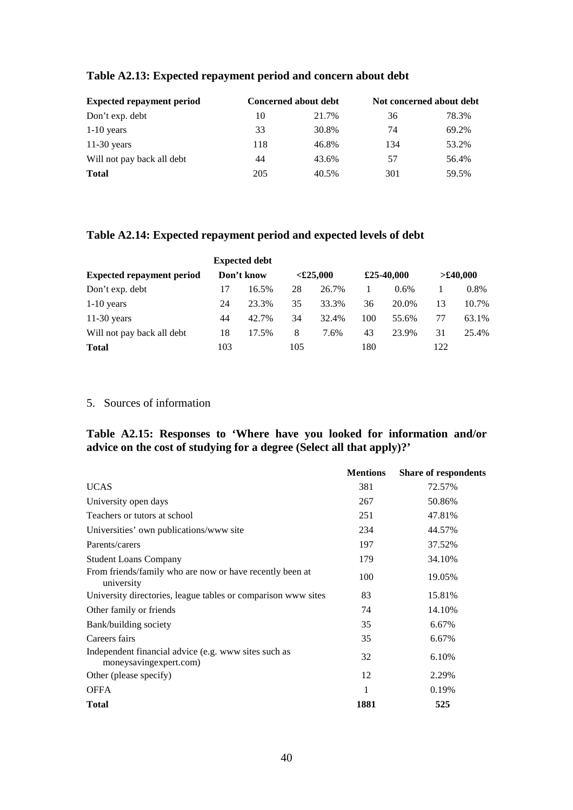| <b>Expected repayment period</b> |     | Concerned about debt | Not concerned about debt |       |  |
|----------------------------------|-----|----------------------|--------------------------|-------|--|
| Don't exp. debt                  | 10  | 21.7%                | 36                       | 78.3% |  |
| $1-10$ years                     | 33  | 30.8%                | 74                       | 69.2% |  |
| $11-30$ years                    | 118 | 46.8%                | 134                      | 53.2% |  |
| Will not pay back all debt       | 44  | 43.6%                | 57                       | 56.4% |  |
| <b>Total</b>                     | 205 | 40.5%                | 301                      | 59.5% |  |

# **Table A2.13: Expected repayment period and concern about debt**

# **Table A2.14: Expected repayment period and expected levels of debt**

|                                  |     | <b>Expected debt</b> |     |             |     |            |     |          |
|----------------------------------|-----|----------------------|-----|-------------|-----|------------|-----|----------|
| <b>Expected repayment period</b> |     | Don't know           |     | $<$ £25,000 |     | £25-40,000 |     | >£40,000 |
| Don't exp. debt                  |     | 16.5%                | 28  | 26.7%       |     | $0.6\%$    |     | 0.8%     |
| $1-10$ years                     | 24  | 23.3%                | 35  | 33.3%       | 36  | 20.0%      | 13  | 10.7%    |
| $11-30$ years                    | 44  | 42.7%                | 34  | 32.4%       | 100 | 55.6%      | 77  | 63.1%    |
| Will not pay back all debt       | 18  | 17.5%                | 8   | 7.6%        | 43  | 23.9%      | 31  | 25.4%    |
| <b>Total</b>                     | 103 |                      | 105 |             | 180 |            | 122 |          |

# 5. Sources of information

# **Table A2.15: Responses to 'Where have you looked for information and/or advice on the cost of studying for a degree (Select all that apply)?'**

|                                                                                | <b>Mentions</b> | <b>Share of respondents</b> |
|--------------------------------------------------------------------------------|-----------------|-----------------------------|
| <b>UCAS</b>                                                                    | 381             | 72.57%                      |
| University open days                                                           | 267             | 50.86%                      |
| Teachers or tutors at school                                                   | 251             | 47.81%                      |
| Universities' own publications/www site                                        | 234             | 44.57%                      |
| Parents/carers                                                                 | 197             | 37.52%                      |
| <b>Student Loans Company</b>                                                   | 179             | 34.10%                      |
| From friends/family who are now or have recently been at<br>university         | 100             | 19.05%                      |
| University directories, league tables or comparison www sites                  | 83              | 15.81%                      |
| Other family or friends                                                        | 74              | 14.10%                      |
| Bank/building society                                                          | 35              | 6.67%                       |
| Careers fairs                                                                  | 35              | 6.67%                       |
| Independent financial advice (e.g. www sites such as<br>moneysavingexpert.com) | 32              | 6.10%                       |
| Other (please specify)                                                         | 12              | 2.29%                       |
| <b>OFFA</b>                                                                    | 1               | 0.19%                       |
| <b>Total</b>                                                                   | 1881            | 525                         |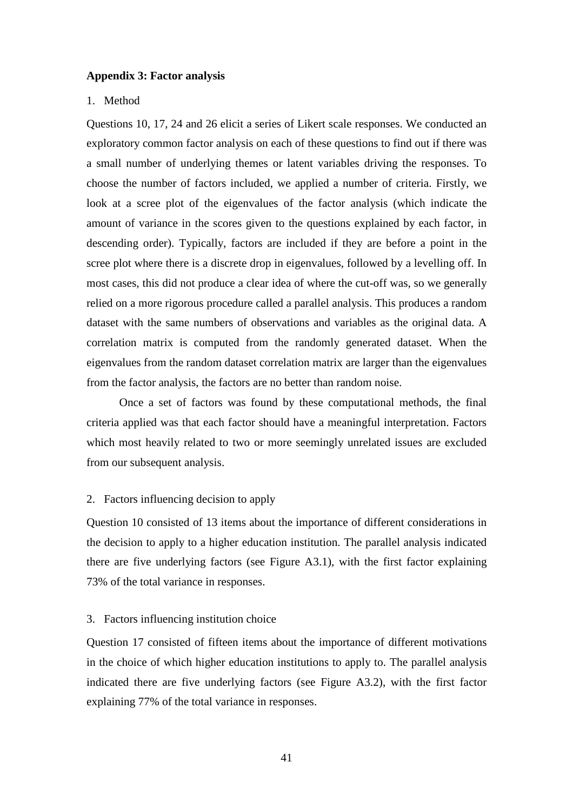### **Appendix 3: Factor analysis**

### 1. Method

Questions 10, 17, 24 and 26 elicit a series of Likert scale responses. We conducted an exploratory common factor analysis on each of these questions to find out if there was a small number of underlying themes or latent variables driving the responses. To choose the number of factors included, we applied a number of criteria. Firstly, we look at a scree plot of the eigenvalues of the factor analysis (which indicate the amount of variance in the scores given to the questions explained by each factor, in descending order). Typically, factors are included if they are before a point in the scree plot where there is a discrete drop in eigenvalues, followed by a levelling off. In most cases, this did not produce a clear idea of where the cut-off was, so we generally relied on a more rigorous procedure called a parallel analysis. This produces a random dataset with the same numbers of observations and variables as the original data. A correlation matrix is computed from the randomly generated dataset. When the eigenvalues from the random dataset correlation matrix are larger than the eigenvalues from the factor analysis, the factors are no better than random noise.

Once a set of factors was found by these computational methods, the final criteria applied was that each factor should have a meaningful interpretation. Factors which most heavily related to two or more seemingly unrelated issues are excluded from our subsequent analysis.

#### 2. Factors influencing decision to apply

Question 10 consisted of 13 items about the importance of different considerations in the decision to apply to a higher education institution. The parallel analysis indicated there are five underlying factors (see Figure A3.1), with the first factor explaining 73% of the total variance in responses.

### 3. Factors influencing institution choice

Question 17 consisted of fifteen items about the importance of different motivations in the choice of which higher education institutions to apply to. The parallel analysis indicated there are five underlying factors (see Figure A3.2), with the first factor explaining 77% of the total variance in responses.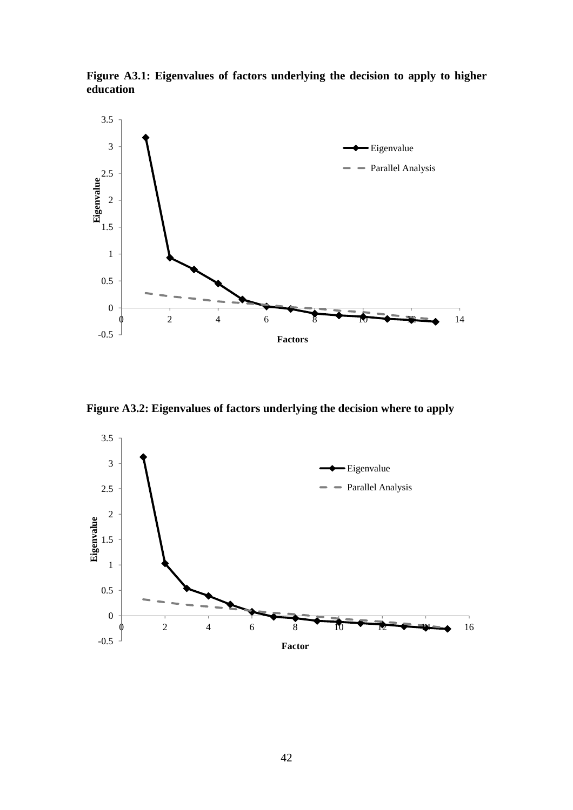**Figure A3.1: Eigenvalues of factors underlying the decision to apply to higher education** 



**Figure A3.2: Eigenvalues of factors underlying the decision where to apply** 

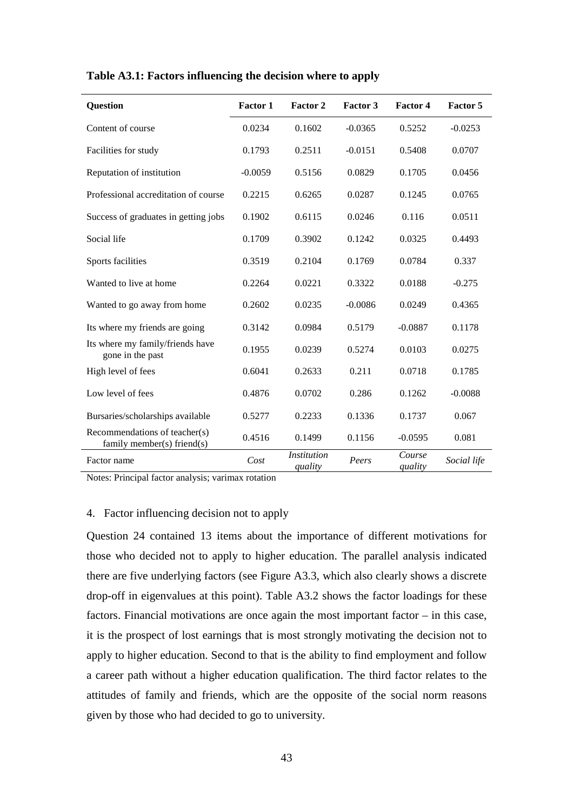| <b>Question</b>                                             | <b>Factor 1</b> | Factor 2                      | Factor 3  | Factor 4          | <b>Factor 5</b> |
|-------------------------------------------------------------|-----------------|-------------------------------|-----------|-------------------|-----------------|
| Content of course                                           | 0.0234          | 0.1602                        | $-0.0365$ | 0.5252            | $-0.0253$       |
| Facilities for study                                        | 0.1793          | 0.2511                        | $-0.0151$ | 0.5408            | 0.0707          |
| Reputation of institution                                   | $-0.0059$       | 0.5156                        | 0.0829    | 0.1705            | 0.0456          |
| Professional accreditation of course                        | 0.2215          | 0.6265                        | 0.0287    | 0.1245            | 0.0765          |
| Success of graduates in getting jobs                        | 0.1902          | 0.6115                        | 0.0246    | 0.116             | 0.0511          |
| Social life                                                 | 0.1709          | 0.3902                        | 0.1242    | 0.0325            | 0.4493          |
| Sports facilities                                           | 0.3519          | 0.2104                        | 0.1769    | 0.0784            | 0.337           |
| Wanted to live at home                                      | 0.2264          | 0.0221                        | 0.3322    | 0.0188            | $-0.275$        |
| Wanted to go away from home                                 | 0.2602          | 0.0235                        | $-0.0086$ | 0.0249            | 0.4365          |
| Its where my friends are going                              | 0.3142          | 0.0984                        | 0.5179    | $-0.0887$         | 0.1178          |
| Its where my family/friends have<br>gone in the past        | 0.1955          | 0.0239                        | 0.5274    | 0.0103            | 0.0275          |
| High level of fees                                          | 0.6041          | 0.2633                        | 0.211     | 0.0718            | 0.1785          |
| Low level of fees                                           | 0.4876          | 0.0702                        | 0.286     | 0.1262            | $-0.0088$       |
| Bursaries/scholarships available                            | 0.5277          | 0.2233                        | 0.1336    | 0.1737            | 0.067           |
| Recommendations of teacher(s)<br>family member(s) friend(s) | 0.4516          | 0.1499                        | 0.1156    | $-0.0595$         | 0.081           |
| Factor name                                                 | Cost            | <b>Institution</b><br>quality | Peers     | Course<br>quality | Social life     |

### **Table A3.1: Factors influencing the decision where to apply**

Notes: Principal factor analysis; varimax rotation

### 4. Factor influencing decision not to apply

Question 24 contained 13 items about the importance of different motivations for those who decided not to apply to higher education. The parallel analysis indicated there are five underlying factors (see Figure A3.3, which also clearly shows a discrete drop-off in eigenvalues at this point). Table A3.2 shows the factor loadings for these factors. Financial motivations are once again the most important factor – in this case, it is the prospect of lost earnings that is most strongly motivating the decision not to apply to higher education. Second to that is the ability to find employment and follow a career path without a higher education qualification. The third factor relates to the attitudes of family and friends, which are the opposite of the social norm reasons given by those who had decided to go to university.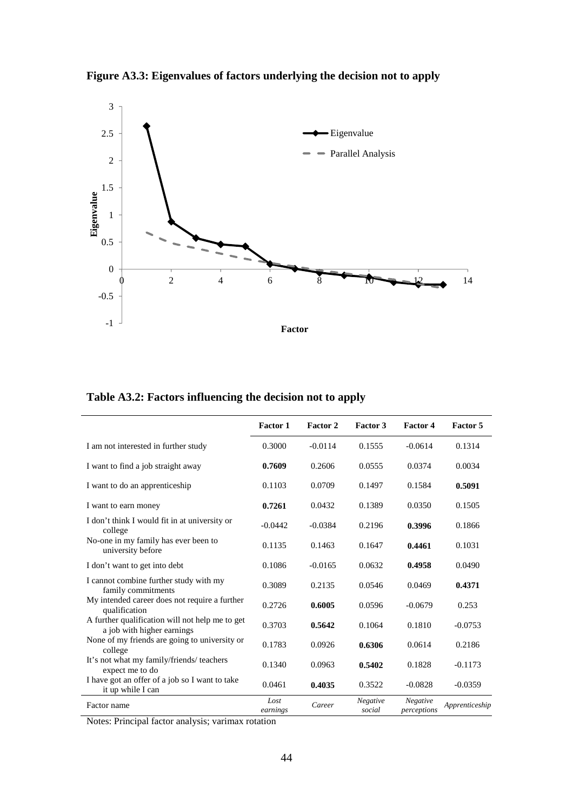**Figure A3.3: Eigenvalues of factors underlying the decision not to apply** 



**Table A3.2: Factors influencing the decision not to apply** 

|                                                                               | <b>Factor 1</b>  | Factor 2  | Factor 3           | <b>Factor 4</b>         | Factor 5       |
|-------------------------------------------------------------------------------|------------------|-----------|--------------------|-------------------------|----------------|
| I am not interested in further study                                          | 0.3000           | $-0.0114$ | 0.1555             | $-0.0614$               | 0.1314         |
| I want to find a job straight away                                            | 0.7609           | 0.2606    | 0.0555             | 0.0374                  | 0.0034         |
| I want to do an apprenticeship                                                | 0.1103           | 0.0709    | 0.1497             | 0.1584                  | 0.5091         |
| I want to earn money                                                          | 0.7261           | 0.0432    | 0.1389             | 0.0350                  | 0.1505         |
| I don't think I would fit in at university or<br>college                      | $-0.0442$        | $-0.0384$ | 0.2196             | 0.3996                  | 0.1866         |
| No-one in my family has ever been to<br>university before                     | 0.1135           | 0.1463    | 0.1647             | 0.4461                  | 0.1031         |
| I don't want to get into debt                                                 | 0.1086           | $-0.0165$ | 0.0632             | 0.4958                  | 0.0490         |
| I cannot combine further study with my<br>family commitments                  | 0.3089           | 0.2135    | 0.0546             | 0.0469                  | 0.4371         |
| My intended career does not require a further<br>qualification                | 0.2726           | 0.6005    | 0.0596             | $-0.0679$               | 0.253          |
| A further qualification will not help me to get<br>a job with higher earnings | 0.3703           | 0.5642    | 0.1064             | 0.1810                  | $-0.0753$      |
| None of my friends are going to university or<br>college                      | 0.1783           | 0.0926    | 0.6306             | 0.0614                  | 0.2186         |
| It's not what my family/friends/ teachers<br>expect me to do                  | 0.1340           | 0.0963    | 0.5402             | 0.1828                  | $-0.1173$      |
| I have got an offer of a job so I want to take<br>it up while I can           | 0.0461           | 0.4035    | 0.3522             | $-0.0828$               | $-0.0359$      |
| Factor name                                                                   | Lost<br>earnings | Career    | Negative<br>social | Negative<br>perceptions | Apprenticeship |

Notes: Principal factor analysis; varimax rotation